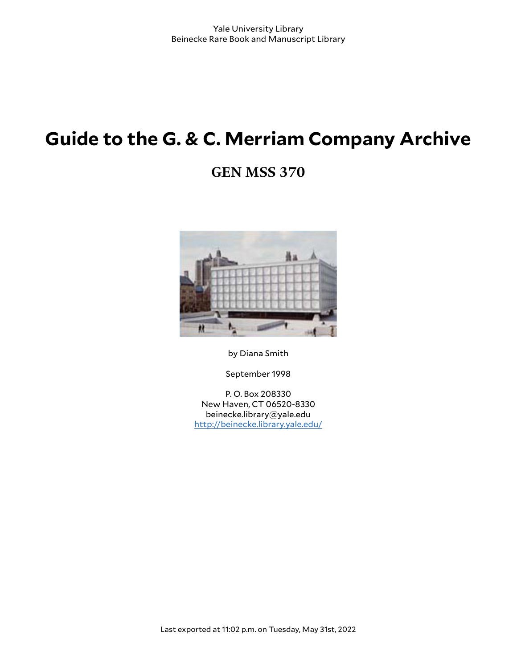# **Guide to the G. & C. Merriam Company Archive**

# **GEN MSS 370**



by Diana Smith

September 1998

P. O. Box 208330 New Haven, CT 06520-8330 beinecke.library@yale.edu <http://beinecke.library.yale.edu/>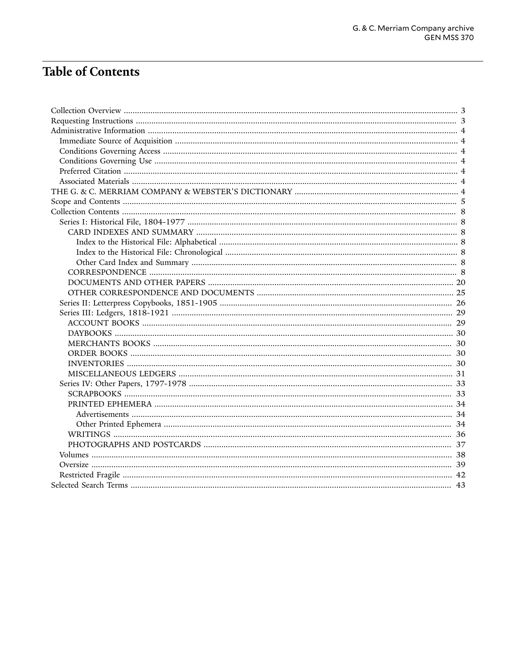# **Table of Contents**

| 30 |
|----|
| 30 |
| 31 |
|    |
|    |
|    |
|    |
|    |
|    |
|    |
|    |
|    |
|    |
|    |
|    |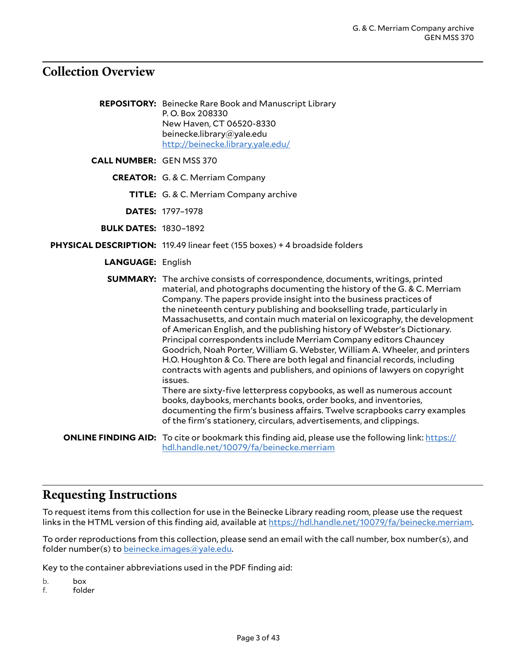### <span id="page-2-0"></span>**Collection Overview**

**REPOSITORY:** Beinecke Rare Book and Manuscript Library P. O. Box 208330 New Haven, CT 06520-8330 beinecke.library@yale.edu <http://beinecke.library.yale.edu/>

**CALL NUMBER:** GEN MSS 370

**CREATOR:** G. & C. Merriam Company

**TITLE:** G. & C. Merriam Company archive

**DATES:** 1797–1978

**BULK DATES:** 1830–1892

**PHYSICAL DESCRIPTION:** 119.49 linear feet (155 boxes) + 4 broadside folders

**LANGUAGE:** English

**SUMMARY:** The archive consists of correspondence, documents, writings, printed material, and photographs documenting the history of the G. & C. Merriam Company. The papers provide insight into the business practices of the nineteenth century publishing and bookselling trade, particularly in Massachusetts, and contain much material on lexicography, the development of American English, and the publishing history of Webster's Dictionary. Principal correspondents include Merriam Company editors Chauncey Goodrich, Noah Porter, William G. Webster, William A. Wheeler, and printers H.O. Houghton & Co. There are both legal and financial records, including contracts with agents and publishers, and opinions of lawyers on copyright issues. There are sixty-five letterpress copybooks, as well as numerous account books, daybooks, merchants books, order books, and inventories, documenting the firm's business affairs. Twelve scrapbooks carry examples of the firm's stationery, circulars, advertisements, and clippings. **ONLINE FINDING AID:** To cite or bookmark this finding aid, please use the following link: [https://](https://hdl.handle.net/10079/fa/beinecke.merriam) [hdl.handle.net/10079/fa/beinecke.merriam](https://hdl.handle.net/10079/fa/beinecke.merriam)

### <span id="page-2-1"></span>**Requesting Instructions**

To request items from this collection for use in the Beinecke Library reading room, please use the request links in the HTML version of this finding aid, available at <https://hdl.handle.net/10079/fa/beinecke.merriam>.

To order reproductions from this collection, please send an email with the call number, box number(s), and folder number(s) to [beinecke.images@yale.edu.](mailto:beinecke.images@yale.edu)

Key to the container abbreviations used in the PDF finding aid:

b. box

f. folder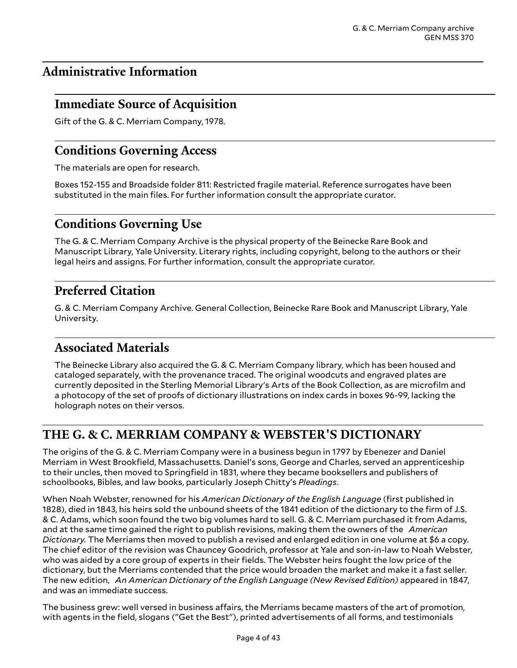# <span id="page-3-0"></span>**Administrative Information**

## <span id="page-3-1"></span>**Immediate Source of Acquisition**

Gift of the G. & C. Merriam Company, 1978.

## <span id="page-3-2"></span>**Conditions Governing Access**

The materials are open for research.

Boxes 152-155 and Broadside folder 811: Restricted fragile material. Reference surrogates have been substituted in the main files. For further information consult the appropriate curator.

# <span id="page-3-3"></span>**Conditions Governing Use**

The G. & C. Merriam Company Archive is the physical property of the Beinecke Rare Book and Manuscript Library, Yale University. Literary rights, including copyright, belong to the authors or their legal heirs and assigns. For further information, consult the appropriate curator.

# <span id="page-3-4"></span>**Preferred Citation**

G. & C. Merriam Company Archive. General Collection, Beinecke Rare Book and Manuscript Library, Yale University.

# <span id="page-3-5"></span>**Associated Materials**

The Beinecke Library also acquired the G. & C. Merriam Company library, which has been housed and cataloged separately, with the provenance traced. The original woodcuts and engraved plates are currently deposited in the Sterling Memorial Library's Arts of the Book Collection, as are microfilm and a photocopy of the set of proofs of dictionary illustrations on index cards in boxes 96-99, lacking the holograph notes on their versos.

# <span id="page-3-6"></span>**THE G. & C. MERRIAM COMPANY & WEBSTER'S DICTIONARY**

The origins of the G. & C. Merriam Company were in a business begun in 1797 by Ebenezer and Daniel Merriam in West Brookfield, Massachusetts. Daniel's sons, George and Charles, served an apprenticeship to their uncles, then moved to Springfield in 1831, where they became booksellers and publishers of schoolbooks, Bibles, and law books, particularly Joseph Chitty's *Pleadings*.

When Noah Webster, renowned for his *American Dictionary of the English Language* (first published in 1828), died in 1843, his heirs sold the unbound sheets of the 1841 edition of the dictionary to the firm of J.S. & C. Adams, which soon found the two big volumes hard to sell. G. & C. Merriam purchased it from Adams, and at the same time gained the right to publish revisions, making them the owners of the *American Dictionary.* The Merriams then moved to publish a revised and enlarged edition in one volume at \$6 a copy. The chief editor of the revision was Chauncey Goodrich, professor at Yale and son-in-law to Noah Webster, who was aided by a core group of experts in their fields. The Webster heirs fought the low price of the dictionary, but the Merriams contended that the price would broaden the market and make it a fast seller. The new edition, *An American Dictionary of the English Language (New Revised Edition)* appeared in 1847, and was an immediate success.

The business grew: well versed in business affairs, the Merriams became masters of the art of promotion, with agents in the field, slogans ("Get the Best"), printed advertisements of all forms, and testimonials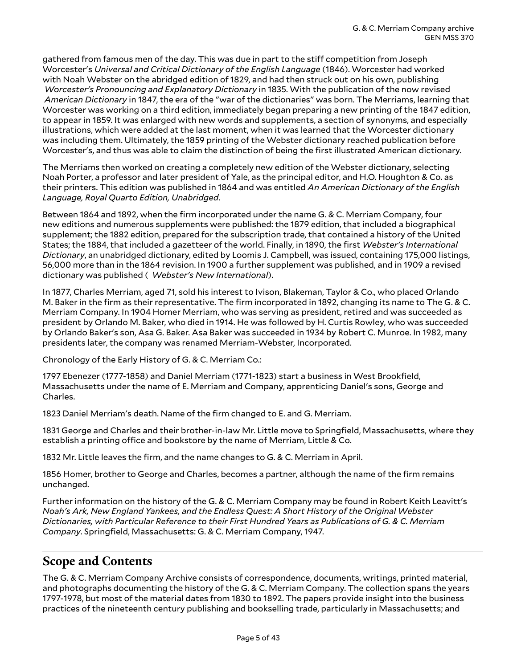gathered from famous men of the day. This was due in part to the stiff competition from Joseph Worcester's *Universal and Critical Dictionary of the English Language* (1846). Worcester had worked with Noah Webster on the abridged edition of 1829, and had then struck out on his own, publishing *Worcester's Pronouncing and Explanatory Dictionary* in 1835. With the publication of the now revised *American Dictionary* in 1847, the era of the "war of the dictionaries" was born. The Merriams, learning that Worcester was working on a third edition, immediately began preparing a new printing of the 1847 edition, to appear in 1859. It was enlarged with new words and supplements, a section of synonyms, and especially illustrations, which were added at the last moment, when it was learned that the Worcester dictionary was including them. Ultimately, the 1859 printing of the Webster dictionary reached publication before Worcester's, and thus was able to claim the distinction of being the first illustrated American dictionary.

The Merriams then worked on creating a completely new edition of the Webster dictionary, selecting Noah Porter, a professor and later president of Yale, as the principal editor, and H.O. Houghton & Co. as their printers. This edition was published in 1864 and was entitled *An American Dictionary of the English Language, Royal Quarto Edition, Unabridged*.

Between 1864 and 1892, when the firm incorporated under the name G. & C. Merriam Company, four new editions and numerous supplements were published: the 1879 edition, that included a biographical supplement; the 1882 edition, prepared for the subscription trade, that contained a history of the United States; the 1884, that included a gazetteer of the world. Finally, in 1890, the first *Webster's International Dictionary*, an unabridged dictionary, edited by Loomis J. Campbell, was issued, containing 175,000 listings, 56,000 more than in the 1864 revision. In 1900 a further supplement was published, and in 1909 a revised dictionary was published ( *Webster's New International*).

In 1877, Charles Merriam, aged 71, sold his interest to Ivison, Blakeman, Taylor & Co., who placed Orlando M. Baker in the firm as their representative. The firm incorporated in 1892, changing its name to The G. & C. Merriam Company. In 1904 Homer Merriam, who was serving as president, retired and was succeeded as president by Orlando M. Baker, who died in 1914. He was followed by H. Curtis Rowley, who was succeeded by Orlando Baker's son, Asa G. Baker. Asa Baker was succeeded in 1934 by Robert C. Munroe. In 1982, many presidents later, the company was renamed Merriam-Webster, Incorporated.

Chronology of the Early History of G. & C. Merriam Co.:

1797 Ebenezer (1777-1858) and Daniel Merriam (1771-1823) start a business in West Brookfield, Massachusetts under the name of E. Merriam and Company, apprenticing Daniel's sons, George and Charles.

1823 Daniel Merriam's death. Name of the firm changed to E. and G. Merriam.

1831 George and Charles and their brother-in-law Mr. Little move to Springfield, Massachusetts, where they establish a printing office and bookstore by the name of Merriam, Little & Co.

1832 Mr. Little leaves the firm, and the name changes to G. & C. Merriam in April.

1856 Homer, brother to George and Charles, becomes a partner, although the name of the firm remains unchanged.

Further information on the history of the G. & C. Merriam Company may be found in Robert Keith Leavitt's *Noah's Ark, New England Yankees, and the Endless Quest: A Short History of the Original Webster Dictionaries, with Particular Reference to their First Hundred Years as Publications of G. & C. Merriam Company*. Springfield, Massachusetts: G. & C. Merriam Company, 1947.

## <span id="page-4-0"></span>**Scope and Contents**

The G. & C. Merriam Company Archive consists of correspondence, documents, writings, printed material, and photographs documenting the history of the G. & C. Merriam Company. The collection spans the years 1797-1978, but most of the material dates from 1830 to 1892. The papers provide insight into the business practices of the nineteenth century publishing and bookselling trade, particularly in Massachusetts; and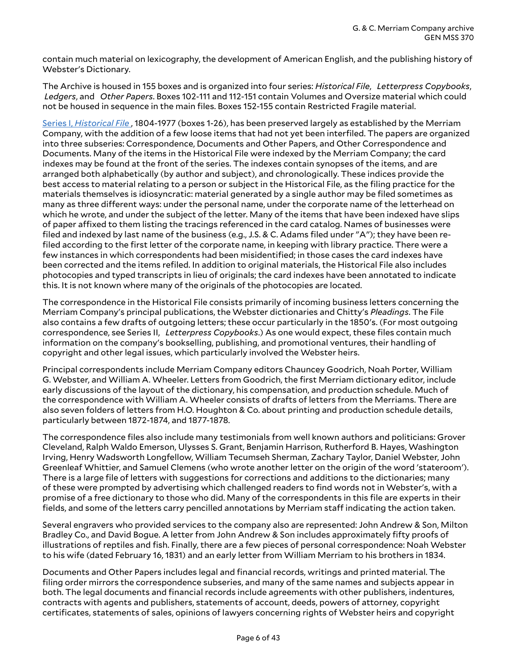contain much material on lexicography, the development of American English, and the publishing history of Webster's Dictionary.

The Archive is housed in 155 boxes and is organized into four series: *Historical File*, *Letterpress Copybooks*, *Ledgers*, and *Other Papers*. Boxes 102-111 and 112-151 contain Volumes and Oversize material which could not be housed in sequence in the main files. Boxes 152-155 contain Restricted Fragile material.

Series I, *[Historical](#page-7-1) File* , 1804-1977 (boxes 1-26), has been preserved largely as established by the Merriam Company, with the addition of a few loose items that had not yet been interfiled. The papers are organized into three subseries: Correspondence, Documents and Other Papers, and Other Correspondence and Documents. Many of the items in the Historical File were indexed by the Merriam Company; the card indexes may be found at the front of the series. The indexes contain synopses of the items, and are arranged both alphabetically (by author and subject), and chronologically. These indices provide the best access to material relating to a person or subject in the Historical File, as the filing practice for the materials themselves is idiosyncratic: material generated by a single author may be filed sometimes as many as three different ways: under the personal name, under the corporate name of the letterhead on which he wrote, and under the subject of the letter. Many of the items that have been indexed have slips of paper affixed to them listing the tracings referenced in the card catalog. Names of businesses were filed and indexed by last name of the business (e.g., J.S. & C. Adams filed under "A"); they have been refiled according to the first letter of the corporate name, in keeping with library practice. There were a few instances in which correspondents had been misidentified; in those cases the card indexes have been corrected and the items refiled. In addition to original materials, the Historical File also includes photocopies and typed transcripts in lieu of originals; the card indexes have been annotated to indicate this. It is not known where many of the originals of the photocopies are located.

The correspondence in the Historical File consists primarily of incoming business letters concerning the Merriam Company's principal publications, the Webster dictionaries and Chitty's *Pleadings*. The File also contains a few drafts of outgoing letters; these occur particularly in the 1850's. (For most outgoing correspondence, see Series II, *Letterpress Copybooks*.) As one would expect, these files contain much information on the company's bookselling, publishing, and promotional ventures, their handling of copyright and other legal issues, which particularly involved the Webster heirs.

Principal correspondents include Merriam Company editors Chauncey Goodrich, Noah Porter, William G. Webster, and William A. Wheeler. Letters from Goodrich, the first Merriam dictionary editor, include early discussions of the layout of the dictionary, his compensation, and production schedule. Much of the correspondence with William A. Wheeler consists of drafts of letters from the Merriams. There are also seven folders of letters from H.O. Houghton & Co. about printing and production schedule details, particularly between 1872-1874, and 1877-1878.

The correspondence files also include many testimonials from well known authors and politicians: Grover Cleveland, Ralph Waldo Emerson, Ulysses S. Grant, Benjamin Harrison, Rutherford B. Hayes, Washington Irving, Henry Wadsworth Longfellow, William Tecumseh Sherman, Zachary Taylor, Daniel Webster, John Greenleaf Whittier, and Samuel Clemens (who wrote another letter on the origin of the word 'stateroom'). There is a large file of letters with suggestions for corrections and additions to the dictionaries; many of these were prompted by advertising which challenged readers to find words not in Webster's, with a promise of a free dictionary to those who did. Many of the correspondents in this file are experts in their fields, and some of the letters carry pencilled annotations by Merriam staff indicating the action taken.

Several engravers who provided services to the company also are represented: John Andrew & Son, Milton Bradley Co., and David Bogue. A letter from John Andrew & Son includes approximately fifty proofs of illustrations of reptiles and fish. Finally, there are a few pieces of personal correspondence: Noah Webster to his wife (dated February 16, 1831) and an early letter from William Merriam to his brothers in 1834.

Documents and Other Papers includes legal and financial records, writings and printed material. The filing order mirrors the correspondence subseries, and many of the same names and subjects appear in both. The legal documents and financial records include agreements with other publishers, indentures, contracts with agents and publishers, statements of account, deeds, powers of attorney, copyright certificates, statements of sales, opinions of lawyers concerning rights of Webster heirs and copyright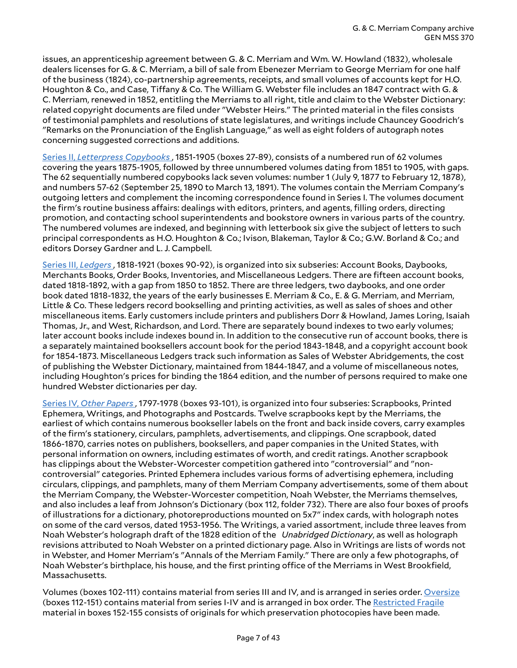issues, an apprenticeship agreement between G. & C. Merriam and Wm. W. Howland (1832), wholesale dealers licenses for G. & C. Merriam, a bill of sale from Ebenezer Merriam to George Merriam for one half of the business (1824), co-partnership agreements, receipts, and small volumes of accounts kept for H.O. Houghton & Co., and Case, Tiffany & Co. The William G. Webster file includes an 1847 contract with G. & C. Merriam, renewed in 1852, entitling the Merriams to all right, title and claim to the Webster Dictionary: related copyright documents are filed under "Webster Heirs." The printed material in the files consists of testimonial pamphlets and resolutions of state legislatures, and writings include Chauncey Goodrich's "Remarks on the Pronunciation of the English Language," as well as eight folders of autograph notes concerning suggested corrections and additions.

Series II, *[Letterpress](#page-25-0) Copybooks* , 1851-1905 (boxes 27-89), consists of a numbered run of 62 volumes covering the years 1875-1905, followed by three unnumbered volumes dating from 1851 to 1905, with gaps. The 62 sequentially numbered copybooks lack seven volumes: number 1 (July 9, 1877 to February 12, 1878), and numbers 57-62 (September 25, 1890 to March 13, 1891). The volumes contain the Merriam Company's outgoing letters and complement the incoming correspondence found in Series I. The volumes document the firm's routine business affairs: dealings with editors, printers, and agents, filling orders, directing promotion, and contacting school superintendents and bookstore owners in various parts of the country. The numbered volumes are indexed, and beginning with letterbook six give the subject of letters to such principal correspondents as H.O. Houghton & Co.; Ivison, Blakeman, Taylor & Co.; G.W. Borland & Co.; and editors Dorsey Gardner and L. J. Campbell.

[Series III,](#page-28-0) *Ledgers* , 1818-1921 (boxes 90-92), is organized into six subseries: Account Books, Daybooks, Merchants Books, Order Books, Inventories, and Miscellaneous Ledgers. There are fifteen account books, dated 1818-1892, with a gap from 1850 to 1852. There are three ledgers, two daybooks, and one order book dated 1818-1832, the years of the early businesses E. Merriam & Co., E. & G. Merriam, and Merriam, Little & Co. These ledgers record bookselling and printing activities, as well as sales of shoes and other miscellaneous items. Early customers include printers and publishers Dorr & Howland, James Loring, Isaiah Thomas, Jr., and West, Richardson, and Lord. There are separately bound indexes to two early volumes; later account books include indexes bound in. In addition to the consecutive run of account books, there is a separately maintained booksellers account book for the period 1843-1848, and a copyright account book for 1854-1873. Miscellaneous Ledgers track such information as Sales of Webster Abridgements, the cost of publishing the Webster Dictionary, maintained from 1844-1847, and a volume of miscellaneous notes, including Houghton's prices for binding the 1864 edition, and the number of persons required to make one hundred Webster dictionaries per day.

Series IV, *Other [Papers](#page-32-0)* , 1797-1978 (boxes 93-101), is organized into four subseries: Scrapbooks, Printed Ephemera, Writings, and Photographs and Postcards. Twelve scrapbooks kept by the Merriams, the earliest of which contains numerous bookseller labels on the front and back inside covers, carry examples of the firm's stationery, circulars, pamphlets, advertisements, and clippings. One scrapbook, dated 1866-1870, carries notes on publishers, booksellers, and paper companies in the United States, with personal information on owners, including estimates of worth, and credit ratings. Another scrapbook has clippings about the Webster-Worcester competition gathered into "controversial" and "noncontroversial" categories. Printed Ephemera includes various forms of advertising ephemera, including circulars, clippings, and pamphlets, many of them Merriam Company advertisements, some of them about the Merriam Company, the Webster-Worcester competition, Noah Webster, the Merriams themselves, and also includes a leaf from Johnson's Dictionary (box 112, folder 732). There are also four boxes of proofs of illustrations for a dictionary, photoreproductions mounted on 5x7" index cards, with holograph notes on some of the card versos, dated 1953-1956. The Writings, a varied assortment, include three leaves from Noah Webster's holograph draft of the 1828 edition of the *Unabridged Dictionary*, as well as holograph revisions attributed to Noah Webster on a printed dictionary page. Also in Writings are lists of words not in Webster, and Homer Merriam's "Annals of the Merriam Family." There are only a few photographs, of Noah Webster's birthplace, his house, and the first printing office of the Merriams in West Brookfield, Massachusetts.

Volumes (boxes 102-111) contains material from series III and IV, and is arranged in series order. [Oversize](#page-38-0) (boxes 112-151) contains material from series I-IV and is arranged in box order. The [Restricted](#page-41-0) Fragile material in boxes 152-155 consists of originals for which preservation photocopies have been made.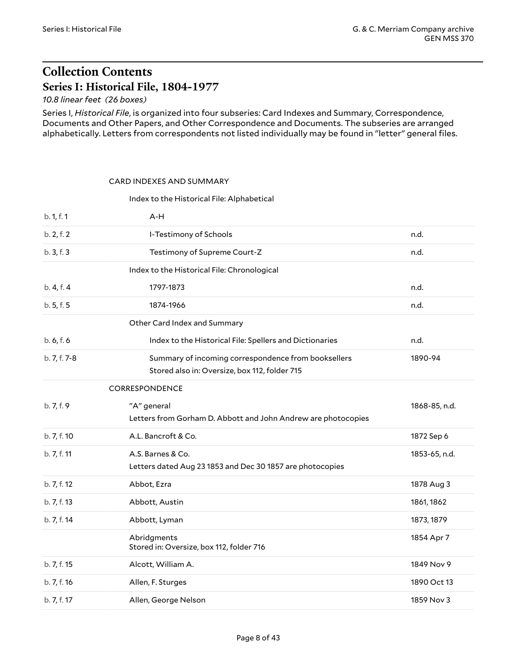# <span id="page-7-0"></span>**Collection Contents Series I: Historical File, 1804-1977**

<span id="page-7-1"></span>*10.8 linear feet (26 boxes)*

Series I, *Historical File*, is organized into four subseries: Card Indexes and Summary, Correspondence, Documents and Other Papers, and Other Correspondence and Documents. The subseries are arranged alphabetically. Letters from correspondents not listed individually may be found in "letter" general files.

#### <span id="page-7-2"></span>CARD INDEXES AND SUMMARY

#### <span id="page-7-5"></span><span id="page-7-4"></span><span id="page-7-3"></span>Index to the Historical File: Alphabetical

<span id="page-7-6"></span>

| b. 1, f. 1   | $A-H$                                                                                                |               |
|--------------|------------------------------------------------------------------------------------------------------|---------------|
| b. 2, f. 2   | I-Testimony of Schools                                                                               | n.d.          |
| b. 3, f. 3   | Testimony of Supreme Court-Z                                                                         | n.d.          |
|              | Index to the Historical File: Chronological                                                          |               |
| b. 4, f. 4   | 1797-1873                                                                                            | n.d.          |
| b. 5, f. 5   | 1874-1966                                                                                            | n.d.          |
|              | Other Card Index and Summary                                                                         |               |
| b. 6, f. 6   | Index to the Historical File: Spellers and Dictionaries                                              | n.d.          |
| b. 7, f. 7-8 | Summary of incoming correspondence from booksellers<br>Stored also in: Oversize, box 112, folder 715 | 1890-94       |
|              | CORRESPONDENCE                                                                                       |               |
| b. 7, f. 9   | "A" general<br>Letters from Gorham D. Abbott and John Andrew are photocopies                         | 1868-85, n.d. |
| b. 7, f. 10  | A.L. Bancroft & Co.                                                                                  | 1872 Sep 6    |
| b. 7, f. 11  | A.S. Barnes & Co.<br>Letters dated Aug 23 1853 and Dec 30 1857 are photocopies                       | 1853-65, n.d. |
| b. 7, f. 12  | Abbot, Ezra                                                                                          | 1878 Aug 3    |
| b. 7, f. 13  | Abbott, Austin                                                                                       | 1861, 1862    |
| b. 7, f. 14  | Abbott, Lyman                                                                                        | 1873, 1879    |
|              | Abridgments<br>Stored in: Oversize, box 112, folder 716                                              | 1854 Apr 7    |
| b. 7, f. 15  | Alcott, William A.                                                                                   | 1849 Nov 9    |
| b. 7, f. 16  | Allen, F. Sturges                                                                                    | 1890 Oct 13   |
| b. 7, f. 17  | Allen, George Nelson                                                                                 | 1859 Nov 3    |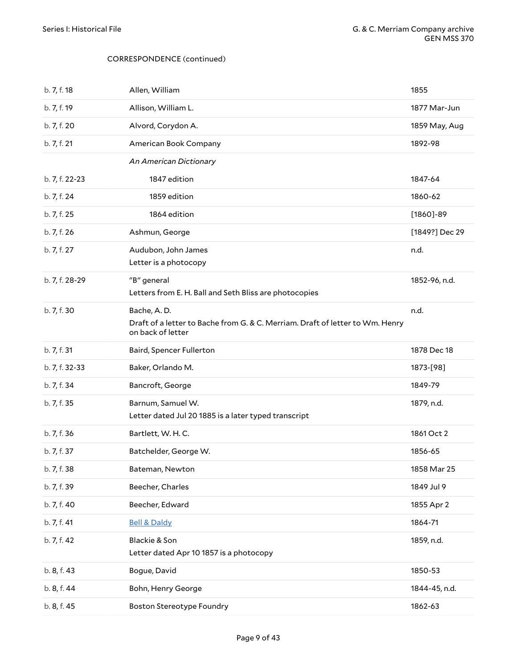| b. 7, f. 18    | Allen, William                                                                                                    | 1855           |
|----------------|-------------------------------------------------------------------------------------------------------------------|----------------|
| b. 7, f. 19    | Allison, William L.                                                                                               | 1877 Mar-Jun   |
| b. 7, f. 20    | Alvord, Corydon A.                                                                                                | 1859 May, Aug  |
| b. 7, f. 21    | American Book Company                                                                                             | 1892-98        |
|                | An American Dictionary                                                                                            |                |
| b. 7, f. 22-23 | 1847 edition                                                                                                      | 1847-64        |
| b. 7, f. 24    | 1859 edition                                                                                                      | 1860-62        |
| b. 7, f. 25    | 1864 edition                                                                                                      | $[1860] - 89$  |
| b. 7, f. 26    | Ashmun, George                                                                                                    | [1849?] Dec 29 |
| b. 7, f. 27    | Audubon, John James<br>Letter is a photocopy                                                                      | n.d.           |
| b. 7, f. 28-29 | "B" general<br>Letters from E. H. Ball and Seth Bliss are photocopies                                             | 1852-96, n.d.  |
| b. 7, f. 30    | Bache, A.D.<br>Draft of a letter to Bache from G. & C. Merriam. Draft of letter to Wm. Henry<br>on back of letter | n.d.           |
| b. 7, f. 31    | Baird, Spencer Fullerton                                                                                          | 1878 Dec 18    |
| b. 7, f. 32-33 | Baker, Orlando M.                                                                                                 | 1873-[98]      |
| b. 7, f. 34    | Bancroft, George                                                                                                  | 1849-79        |
| b. 7, f. 35    | Barnum, Samuel W.<br>Letter dated Jul 20 1885 is a later typed transcript                                         | 1879, n.d.     |
| b. 7, f. 36    | Bartlett, W. H. C.                                                                                                | 1861 Oct 2     |
| b. 7, f. 37    | Batchelder, George W.                                                                                             | 1856-65        |
| b. 7, f. 38    | Bateman, Newton                                                                                                   | 1858 Mar 25    |
| b. 7, f. 39    | Beecher, Charles                                                                                                  | 1849 Jul 9     |
| b. 7, f. 40    | Beecher, Edward                                                                                                   | 1855 Apr 2     |
| b. 7, f. 41    | <b>Bell &amp; Daldy</b>                                                                                           | 1864-71        |
| b. 7, f. 42    | Blackie & Son<br>Letter dated Apr 10 1857 is a photocopy                                                          | 1859, n.d.     |
| b. 8, f. 43    | Bogue, David                                                                                                      | 1850-53        |
| b. 8, f. 44    | Bohn, Henry George                                                                                                | 1844-45, n.d.  |
| b. 8, f. 45    | <b>Boston Stereotype Foundry</b>                                                                                  | 1862-63        |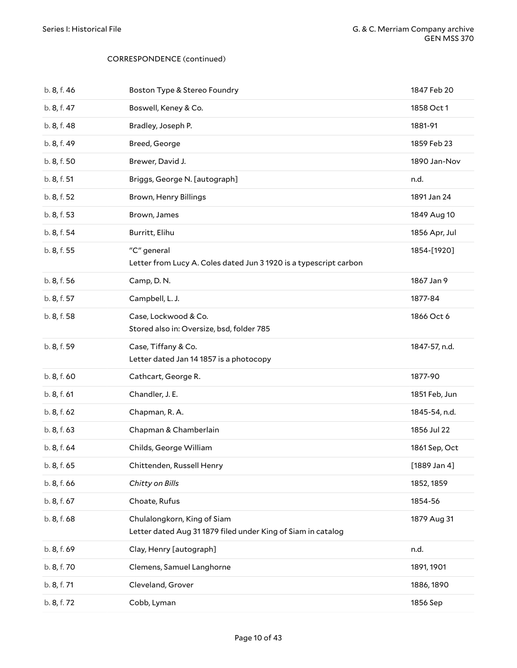| b. 8, f. 46 | Boston Type & Stereo Foundry                                                                | 1847 Feb 20    |
|-------------|---------------------------------------------------------------------------------------------|----------------|
| b. 8, f. 47 | Boswell, Keney & Co.                                                                        | 1858 Oct 1     |
| b. 8, f. 48 | Bradley, Joseph P.                                                                          | 1881-91        |
| b. 8, f. 49 | Breed, George                                                                               | 1859 Feb 23    |
| b. 8, f. 50 | Brewer, David J.                                                                            | 1890 Jan-Nov   |
| b. 8, f. 51 | Briggs, George N. [autograph]                                                               | n.d.           |
| b. 8, f. 52 | Brown, Henry Billings                                                                       | 1891 Jan 24    |
| b. 8, f. 53 | Brown, James                                                                                | 1849 Aug 10    |
| b. 8, f. 54 | Burritt, Elihu                                                                              | 1856 Apr, Jul  |
| b. 8, f. 55 | "C" general<br>Letter from Lucy A. Coles dated Jun 3 1920 is a typescript carbon            | 1854-[1920]    |
| b. 8, f. 56 | Camp, D.N.                                                                                  | 1867 Jan 9     |
| b. 8, f. 57 | Campbell, L. J.                                                                             | 1877-84        |
| b. 8, f. 58 | Case, Lockwood & Co.<br>Stored also in: Oversize, bsd, folder 785                           | 1866 Oct 6     |
| b. 8, f. 59 | Case, Tiffany & Co.<br>Letter dated Jan 14 1857 is a photocopy                              | 1847-57, n.d.  |
| b. 8, f. 60 | Cathcart, George R.                                                                         | 1877-90        |
| b. 8, f. 61 | Chandler, J. E.                                                                             | 1851 Feb, Jun  |
| b. 8, f. 62 | Chapman, R. A.                                                                              | 1845-54, n.d.  |
| b. 8, f. 63 | Chapman & Chamberlain                                                                       | 1856 Jul 22    |
| b. 8, f. 64 | Childs, George William                                                                      | 1861 Sep, Oct  |
| b. 8, f. 65 | Chittenden, Russell Henry                                                                   | $[1889$ Jan 4] |
| b. 8, f. 66 | Chitty on Bills                                                                             | 1852, 1859     |
| b. 8, f. 67 | Choate, Rufus                                                                               | 1854-56        |
| b. 8, f. 68 | Chulalongkorn, King of Siam<br>Letter dated Aug 31 1879 filed under King of Siam in catalog | 1879 Aug 31    |
| b. 8, f. 69 | Clay, Henry [autograph]                                                                     | n.d.           |
| b. 8, f. 70 | Clemens, Samuel Langhorne                                                                   | 1891, 1901     |
| b. 8, f. 71 | Cleveland, Grover                                                                           | 1886, 1890     |
| b. 8, f. 72 | Cobb, Lyman                                                                                 | 1856 Sep       |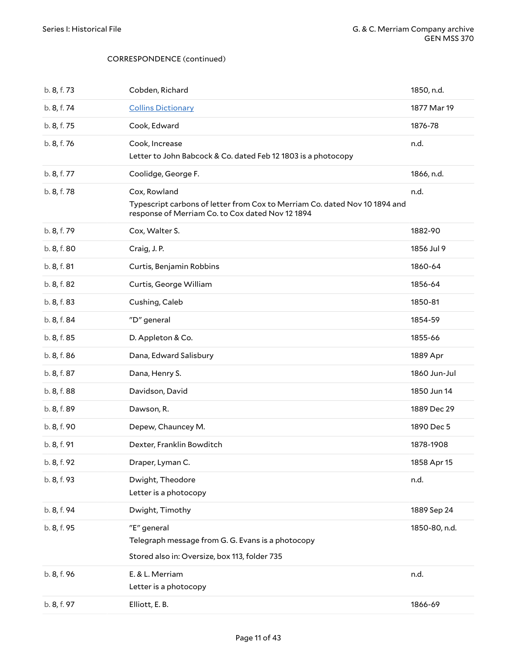| b. 8, f. 73 | Cobden, Richard                                                                                                                                | 1850, n.d.    |
|-------------|------------------------------------------------------------------------------------------------------------------------------------------------|---------------|
| b. 8, f. 74 | <b>Collins Dictionary</b>                                                                                                                      | 1877 Mar 19   |
| b. 8, f. 75 | Cook, Edward                                                                                                                                   | 1876-78       |
| b. 8, f. 76 | Cook, Increase<br>Letter to John Babcock & Co. dated Feb 12 1803 is a photocopy                                                                | n.d.          |
| b. 8, f. 77 | Coolidge, George F.                                                                                                                            | 1866, n.d.    |
| b. 8, f. 78 | Cox, Rowland<br>Typescript carbons of letter from Cox to Merriam Co. dated Nov 10 1894 and<br>response of Merriam Co. to Cox dated Nov 12 1894 | n.d.          |
| b. 8, f. 79 | Cox, Walter S.                                                                                                                                 | 1882-90       |
| b. 8, f. 80 | Craig, J.P.                                                                                                                                    | 1856 Jul 9    |
| b. 8, f. 81 | Curtis, Benjamin Robbins                                                                                                                       | 1860-64       |
| b. 8, f. 82 | Curtis, George William                                                                                                                         | 1856-64       |
| b. 8, f. 83 | Cushing, Caleb                                                                                                                                 | 1850-81       |
| b. 8, f. 84 | "D" general                                                                                                                                    | 1854-59       |
| b. 8, f. 85 | D. Appleton & Co.                                                                                                                              | 1855-66       |
|             |                                                                                                                                                |               |
| b. 8, f. 86 | Dana, Edward Salisbury                                                                                                                         | 1889 Apr      |
| b. 8, f. 87 | Dana, Henry S.                                                                                                                                 | 1860 Jun-Jul  |
| b. 8, f. 88 | Davidson, David                                                                                                                                | 1850 Jun 14   |
| b. 8, f. 89 | Dawson, R.                                                                                                                                     | 1889 Dec 29   |
| b. 8, f. 90 | Depew, Chauncey M.                                                                                                                             | 1890 Dec 5    |
| b. 8, f. 91 | Dexter, Franklin Bowditch                                                                                                                      | 1878-1908     |
| b. 8, f. 92 | Draper, Lyman C.                                                                                                                               | 1858 Apr 15   |
| b. 8, f. 93 | Dwight, Theodore<br>Letter is a photocopy                                                                                                      | n.d.          |
| b. 8, f. 94 | Dwight, Timothy                                                                                                                                | 1889 Sep 24   |
| b. 8, f. 95 | "E" general<br>Telegraph message from G. G. Evans is a photocopy<br>Stored also in: Oversize, box 113, folder 735                              | 1850-80, n.d. |
| b. 8, f. 96 | E. & L. Merriam<br>Letter is a photocopy                                                                                                       | n.d.          |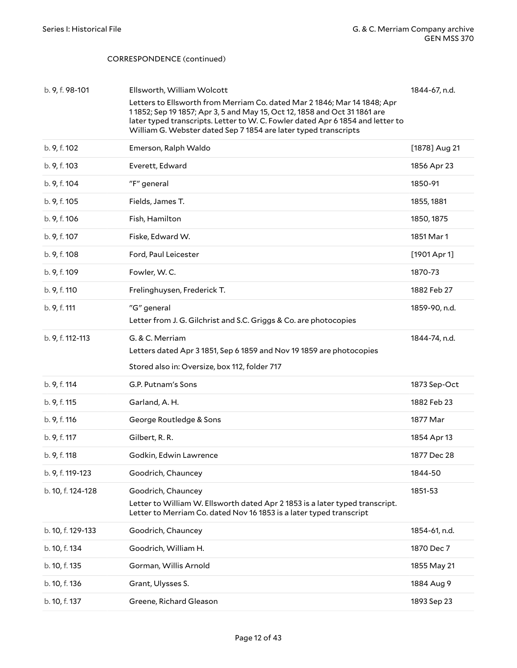| b. 9, f. 98-101   | Ellsworth, William Wolcott<br>Letters to Ellsworth from Merriam Co. dated Mar 2 1846; Mar 14 1848; Apr<br>11852; Sep 19 1857; Apr 3, 5 and May 15, Oct 12, 1858 and Oct 31 1861 are<br>later typed transcripts. Letter to W. C. Fowler dated Apr 6 1854 and letter to<br>William G. Webster dated Sep 7 1854 are later typed transcripts | 1844-67, n.d.  |
|-------------------|------------------------------------------------------------------------------------------------------------------------------------------------------------------------------------------------------------------------------------------------------------------------------------------------------------------------------------------|----------------|
| b. 9, f. 102      | Emerson, Ralph Waldo                                                                                                                                                                                                                                                                                                                     | [1878] Aug 21  |
| b. 9, f. 103      | Everett, Edward                                                                                                                                                                                                                                                                                                                          | 1856 Apr 23    |
| b. 9, f. 104      | "F" general                                                                                                                                                                                                                                                                                                                              | 1850-91        |
| b. 9, f. 105      | Fields, James T.                                                                                                                                                                                                                                                                                                                         | 1855, 1881     |
| b. 9, f. 106      | Fish, Hamilton                                                                                                                                                                                                                                                                                                                           | 1850, 1875     |
| b. 9, f. 107      | Fiske, Edward W.                                                                                                                                                                                                                                                                                                                         | 1851 Mar 1     |
| b. 9, f. 108      | Ford, Paul Leicester                                                                                                                                                                                                                                                                                                                     | $[1901$ Apr 1] |
| b. 9, f. 109      | Fowler, W.C.                                                                                                                                                                                                                                                                                                                             | 1870-73        |
| b. 9, f. 110      | Frelinghuysen, Frederick T.                                                                                                                                                                                                                                                                                                              | 1882 Feb 27    |
| b. 9, f. 111      | "G" general<br>Letter from J. G. Gilchrist and S.C. Griggs & Co. are photocopies                                                                                                                                                                                                                                                         | 1859-90, n.d.  |
| b. 9, f. 112-113  | G. & C. Merriam<br>Letters dated Apr 3 1851, Sep 6 1859 and Nov 19 1859 are photocopies<br>Stored also in: Oversize, box 112, folder 717                                                                                                                                                                                                 | 1844-74, n.d.  |
| b. 9, f. 114      | G.P. Putnam's Sons                                                                                                                                                                                                                                                                                                                       | 1873 Sep-Oct   |
| b. 9, f. 115      | Garland, A.H.                                                                                                                                                                                                                                                                                                                            | 1882 Feb 23    |
| b. 9, f. 116      | George Routledge & Sons                                                                                                                                                                                                                                                                                                                  | 1877 Mar       |
| b. 9, f. 117      | Gilbert, R.R.                                                                                                                                                                                                                                                                                                                            | 1854 Apr 13    |
| b. 9, f. 118      | Godkin, Edwin Lawrence                                                                                                                                                                                                                                                                                                                   | 1877 Dec 28    |
| b. 9, f. 119-123  | Goodrich, Chauncey                                                                                                                                                                                                                                                                                                                       | 1844-50        |
| b. 10, f. 124-128 | Goodrich, Chauncey<br>Letter to William W. Ellsworth dated Apr 2 1853 is a later typed transcript.<br>Letter to Merriam Co. dated Nov 16 1853 is a later typed transcript                                                                                                                                                                | 1851-53        |
| b. 10, f. 129-133 | Goodrich, Chauncey                                                                                                                                                                                                                                                                                                                       | 1854-61, n.d.  |
| b. 10, f. 134     | Goodrich, William H.                                                                                                                                                                                                                                                                                                                     | 1870 Dec 7     |
| b. 10, f. 135     | Gorman, Willis Arnold                                                                                                                                                                                                                                                                                                                    | 1855 May 21    |
| b. 10, f. 136     | Grant, Ulysses S.                                                                                                                                                                                                                                                                                                                        | 1884 Aug 9     |
| b. 10, f. 137     | Greene, Richard Gleason                                                                                                                                                                                                                                                                                                                  | 1893 Sep 23    |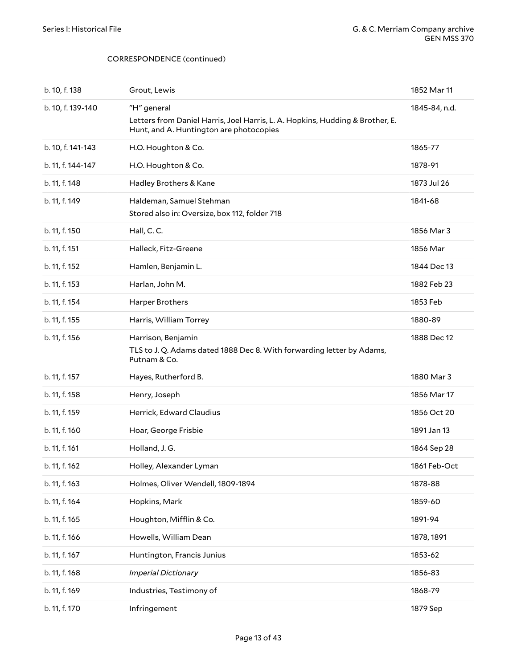| b. 10, f. 138     | Grout, Lewis                                                                                                                            | 1852 Mar 11   |
|-------------------|-----------------------------------------------------------------------------------------------------------------------------------------|---------------|
| b. 10, f. 139-140 | "H" general<br>Letters from Daniel Harris, Joel Harris, L. A. Hopkins, Hudding & Brother, E.<br>Hunt, and A. Huntington are photocopies | 1845-84, n.d. |
| b. 10, f. 141-143 | H.O. Houghton & Co.                                                                                                                     | 1865-77       |
| b. 11, f. 144-147 | H.O. Houghton & Co.                                                                                                                     | 1878-91       |
| b. 11, f. 148     | Hadley Brothers & Kane                                                                                                                  | 1873 Jul 26   |
| b. 11, f. 149     | Haldeman, Samuel Stehman<br>Stored also in: Oversize, box 112, folder 718                                                               | 1841-68       |
| b. 11, f. 150     | Hall, C.C.                                                                                                                              | 1856 Mar 3    |
| b. 11, f. 151     | Halleck, Fitz-Greene                                                                                                                    | 1856 Mar      |
| b. 11, f. 152     | Hamlen, Benjamin L.                                                                                                                     | 1844 Dec 13   |
| b. 11, f. 153     | Harlan, John M.                                                                                                                         | 1882 Feb 23   |
| b. 11, f. 154     | Harper Brothers                                                                                                                         | 1853 Feb      |
| b. 11, f. 155     | Harris, William Torrey                                                                                                                  | 1880-89       |
| b. 11, f. 156     | Harrison, Benjamin<br>TLS to J. Q. Adams dated 1888 Dec 8. With forwarding letter by Adams,<br>Putnam & Co.                             | 1888 Dec 12   |
| b. 11, f. 157     | Hayes, Rutherford B.                                                                                                                    | 1880 Mar 3    |
| b. 11, f. 158     | Henry, Joseph                                                                                                                           | 1856 Mar 17   |
| b. 11, f. 159     | Herrick, Edward Claudius                                                                                                                | 1856 Oct 20   |
| b. 11, f. 160     | Hoar, George Frisbie                                                                                                                    | 1891 Jan 13   |
| b. 11, f. 161     | Holland, J.G.                                                                                                                           | 1864 Sep 28   |
| b. 11, f. 162     | Holley, Alexander Lyman                                                                                                                 | 1861 Feb-Oct  |
| b. 11, f. 163     | Holmes, Oliver Wendell, 1809-1894                                                                                                       | 1878-88       |
| b. 11, f. 164     | Hopkins, Mark                                                                                                                           | 1859-60       |
| b. 11, f. 165     | Houghton, Mifflin & Co.                                                                                                                 | 1891-94       |
| b. 11, f. 166     | Howells, William Dean                                                                                                                   | 1878, 1891    |
| b. 11, f. 167     | Huntington, Francis Junius                                                                                                              | 1853-62       |
| b. 11, f. 168     | <b>Imperial Dictionary</b>                                                                                                              | 1856-83       |
| b. 11, f. 169     | Industries, Testimony of                                                                                                                | 1868-79       |
| b. 11, f. 170     | Infringement                                                                                                                            | 1879 Sep      |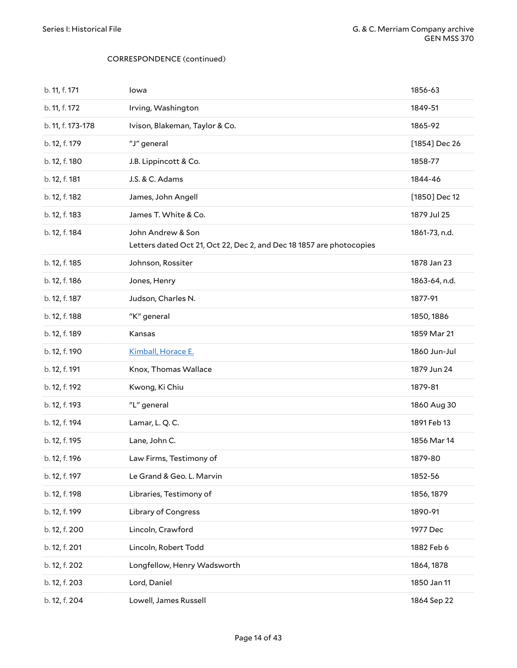| b. 11, f. 171     | lowa                                                                                      | 1856-63       |
|-------------------|-------------------------------------------------------------------------------------------|---------------|
| b. 11, f. 172     | Irving, Washington                                                                        | 1849-51       |
| b. 11, f. 173-178 | Ivison, Blakeman, Taylor & Co.                                                            | 1865-92       |
| b. 12, f. 179     | "J" general                                                                               | [1854] Dec 26 |
| b. 12, f. 180     | J.B. Lippincott & Co.                                                                     | 1858-77       |
| b. 12, f. 181     | J.S. & C. Adams                                                                           | 1844-46       |
| b. 12, f. 182     | James, John Angell                                                                        | [1850] Dec 12 |
| b. 12, f. 183     | James T. White & Co.                                                                      | 1879 Jul 25   |
| b. 12, f. 184     | John Andrew & Son<br>Letters dated Oct 21, Oct 22, Dec 2, and Dec 18 1857 are photocopies | 1861-73, n.d. |
| b. 12, f. 185     | Johnson, Rossiter                                                                         | 1878 Jan 23   |
| b. 12, f. 186     | Jones, Henry                                                                              | 1863-64, n.d. |
| b. 12, f. 187     | Judson, Charles N.                                                                        | 1877-91       |
| b. 12, f. 188     | "K" general                                                                               | 1850, 1886    |
| b. 12, f. 189     | Kansas                                                                                    | 1859 Mar 21   |
| b. 12, f. 190     | Kimball, Horace E.                                                                        | 1860 Jun-Jul  |
| b. 12, f. 191     | Knox, Thomas Wallace                                                                      | 1879 Jun 24   |
| b. 12, f. 192     | Kwong, Ki Chiu                                                                            | 1879-81       |
| b. 12, f. 193     | "L" general                                                                               | 1860 Aug 30   |
| b. 12, f. 194     | Lamar, L. Q. C.                                                                           | 1891 Feb 13   |
| b. 12, f. 195     | Lane, John C.                                                                             | 1856 Mar 14   |
| b. 12, f. 196     | Law Firms, Testimony of                                                                   | 1879-80       |
| b. 12, f. 197     | Le Grand & Geo. L. Marvin                                                                 | 1852-56       |
| b. 12, f. 198     | Libraries, Testimony of                                                                   | 1856, 1879    |
| b. 12, f. 199     | <b>Library of Congress</b>                                                                | 1890-91       |
| b. 12, f. 200     | Lincoln, Crawford                                                                         | 1977 Dec      |
| b. 12, f. 201     | Lincoln, Robert Todd                                                                      | 1882 Feb 6    |
| b. 12, f. 202     | Longfellow, Henry Wadsworth                                                               | 1864, 1878    |
| b. 12, f. 203     | Lord, Daniel                                                                              | 1850 Jan 11   |
| b. 12, f. 204     | Lowell, James Russell                                                                     | 1864 Sep 22   |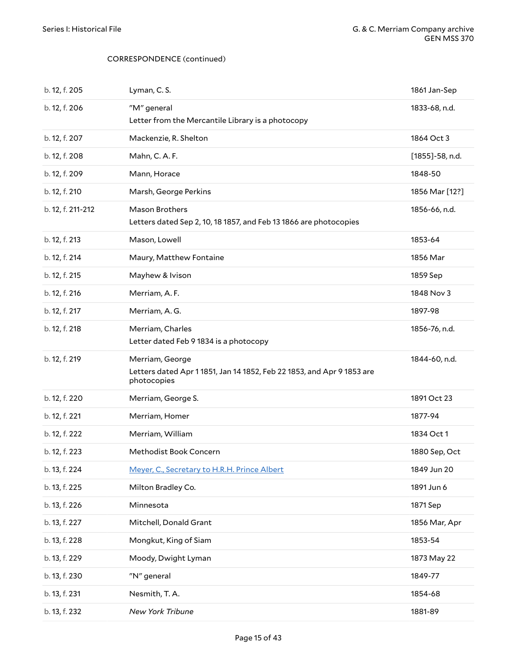| b. 12, f. 205     | Lyman, C.S.                                                                                             | 1861 Jan-Sep    |
|-------------------|---------------------------------------------------------------------------------------------------------|-----------------|
| b. 12, f. 206     | "M" general<br>Letter from the Mercantile Library is a photocopy                                        | 1833-68, n.d.   |
| b. 12, f. 207     | Mackenzie, R. Shelton                                                                                   | 1864 Oct 3      |
| b. 12, f. 208     | Mahn, C.A.F.                                                                                            | [1855]-58, n.d. |
| b. 12, f. 209     | Mann, Horace                                                                                            | 1848-50         |
| b. 12, f. 210     | Marsh, George Perkins                                                                                   | 1856 Mar [12?]  |
| b. 12, f. 211-212 | Mason Brothers<br>Letters dated Sep 2, 10, 18 1857, and Feb 13 1866 are photocopies                     | 1856-66, n.d.   |
| b. 12, f. 213     | Mason, Lowell                                                                                           | 1853-64         |
| b. 12, f. 214     | Maury, Matthew Fontaine                                                                                 | 1856 Mar        |
| b. 12, f. 215     | Mayhew & Ivison                                                                                         | 1859 Sep        |
| b. 12, f. 216     | Merriam, A.F.                                                                                           | 1848 Nov 3      |
| b. 12, f. 217     | Merriam, A.G.                                                                                           | 1897-98         |
| b. 12, f. 218     | Merriam, Charles<br>Letter dated Feb 9 1834 is a photocopy                                              | 1856-76, n.d.   |
|                   |                                                                                                         |                 |
| b. 12, f. 219     | Merriam, George<br>Letters dated Apr 11851, Jan 14 1852, Feb 22 1853, and Apr 9 1853 are<br>photocopies | 1844-60, n.d.   |
| b. 12, f. 220     | Merriam, George S.                                                                                      | 1891 Oct 23     |
| b. 12, f. 221     | Merriam, Homer                                                                                          | 1877-94         |
| b. 12, f. 222     | Merriam, William                                                                                        | 1834 Oct 1      |
| b. 12, f. 223     | Methodist Book Concern                                                                                  | 1880 Sep, Oct   |
| b. 13, f. 224     | Meyer, C., Secretary to H.R.H. Prince Albert                                                            | 1849 Jun 20     |
| b. 13, f. 225     | Milton Bradley Co.                                                                                      | 1891 Jun 6      |
| b. 13, f. 226     | Minnesota                                                                                               | 1871 Sep        |
| b. 13, f. 227     | Mitchell, Donald Grant                                                                                  | 1856 Mar, Apr   |
| b. 13, f. 228     | Mongkut, King of Siam                                                                                   | 1853-54         |
| b. 13, f. 229     | Moody, Dwight Lyman                                                                                     | 1873 May 22     |
| b. 13, f. 230     | "N" general                                                                                             | 1849-77         |
| b. 13, f. 231     | Nesmith, T.A.                                                                                           | 1854-68         |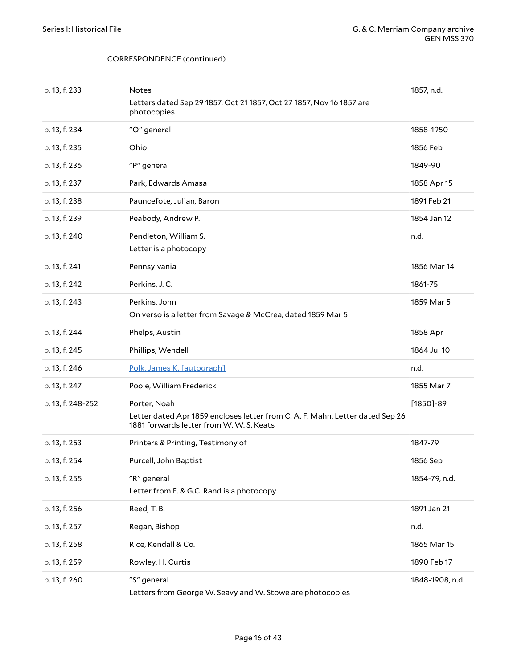| b. 13, f. 233     | <b>Notes</b><br>Letters dated Sep 29 1857, Oct 21 1857, Oct 27 1857, Nov 16 1857 are<br>photocopies                                       | 1857, n.d.    |
|-------------------|-------------------------------------------------------------------------------------------------------------------------------------------|---------------|
| b. 13, f. 234     | "O" general                                                                                                                               | 1858-1950     |
| b. 13, f. 235     | Ohio                                                                                                                                      | 1856 Feb      |
| b. 13, f. 236     | "P" general                                                                                                                               | 1849-90       |
| b. 13, f. 237     | Park, Edwards Amasa                                                                                                                       | 1858 Apr 15   |
| b. 13, f. 238     | Pauncefote, Julian, Baron                                                                                                                 | 1891 Feb 21   |
| b. 13, f. 239     | Peabody, Andrew P.                                                                                                                        | 1854 Jan 12   |
| b. 13, f. 240     | Pendleton, William S.<br>Letter is a photocopy                                                                                            | n.d.          |
| b. 13, f. 241     | Pennsylvania                                                                                                                              | 1856 Mar 14   |
| b. 13, f. 242     | Perkins, J.C.                                                                                                                             | 1861-75       |
| b. 13, f. 243     | Perkins, John<br>On verso is a letter from Savage & McCrea, dated 1859 Mar 5                                                              | 1859 Mar 5    |
| b. 13, f. 244     | Phelps, Austin                                                                                                                            | 1858 Apr      |
| b. 13, f. 245     | Phillips, Wendell                                                                                                                         | 1864 Jul 10   |
|                   |                                                                                                                                           |               |
| b. 13, f. 246     | Polk, James K. [autograph]                                                                                                                | n.d.          |
| b. 13, f. 247     | Poole, William Frederick                                                                                                                  | 1855 Mar 7    |
| b. 13, f. 248-252 | Porter, Noah<br>Letter dated Apr 1859 encloses letter from C. A. F. Mahn. Letter dated Sep 26<br>1881 forwards letter from W. W. S. Keats | $[1850]$ -89  |
| b. 13, f. 253     | Printers & Printing, Testimony of                                                                                                         | 1847-79       |
| b. 13, f. 254     | Purcell, John Baptist                                                                                                                     | 1856 Sep      |
| b. 13, f. 255     | "R" general<br>Letter from F. & G.C. Rand is a photocopy                                                                                  | 1854-79, n.d. |
| b. 13, f. 256     | Reed, T.B.                                                                                                                                | 1891 Jan 21   |
| b. 13, f. 257     | Regan, Bishop                                                                                                                             | n.d.          |
| b. 13, f. 258     | Rice, Kendall & Co.                                                                                                                       | 1865 Mar 15   |
| b. 13, f. 259     | Rowley, H. Curtis                                                                                                                         | 1890 Feb 17   |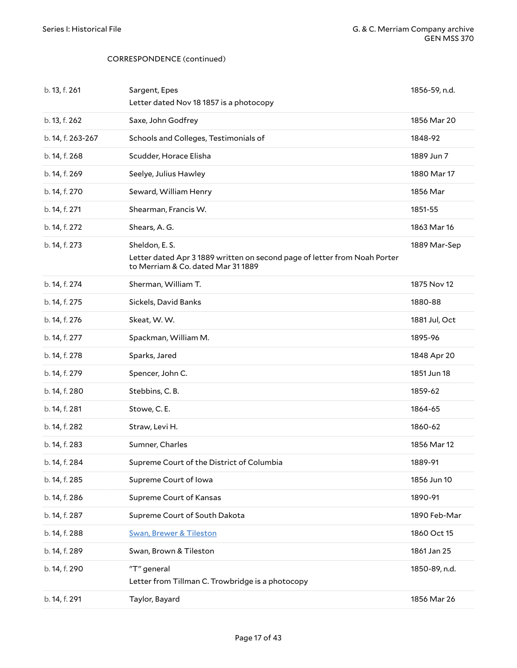| b. 13, f. 261     | Sargent, Epes<br>Letter dated Nov 18 1857 is a photocopy                                                                        | 1856-59, n.d. |
|-------------------|---------------------------------------------------------------------------------------------------------------------------------|---------------|
| b. 13, f. 262     | Saxe, John Godfrey                                                                                                              | 1856 Mar 20   |
| b. 14, f. 263-267 | Schools and Colleges, Testimonials of                                                                                           | 1848-92       |
| b. 14, f. 268     | Scudder, Horace Elisha                                                                                                          | 1889 Jun 7    |
| b. 14, f. 269     | Seelye, Julius Hawley                                                                                                           | 1880 Mar 17   |
| b. 14, f. 270     | Seward, William Henry                                                                                                           | 1856 Mar      |
| b. 14, f. 271     | Shearman, Francis W.                                                                                                            | 1851-55       |
| b. 14, f. 272     | Shears, A.G.                                                                                                                    | 1863 Mar 16   |
| b. 14, f. 273     | Sheldon, E.S.<br>Letter dated Apr 3 1889 written on second page of letter from Noah Porter<br>to Merriam & Co. dated Mar 311889 | 1889 Mar-Sep  |
| b. 14, f. 274     | Sherman, William T.                                                                                                             | 1875 Nov 12   |
| b. 14, f. 275     | Sickels, David Banks                                                                                                            | 1880-88       |
| b. 14, f. 276     | Skeat, W.W.                                                                                                                     | 1881 Jul, Oct |
| b. 14, f. 277     | Spackman, William M.                                                                                                            | 1895-96       |
| b. 14, f. 278     | Sparks, Jared                                                                                                                   | 1848 Apr 20   |
| b. 14, f. 279     | Spencer, John C.                                                                                                                | 1851 Jun 18   |
| b. 14, f. 280     | Stebbins, C.B.                                                                                                                  | 1859-62       |
| b. 14, f. 281     | Stowe, C.E.                                                                                                                     | 1864-65       |
| b. 14, f. 282     | Straw, Levi H.                                                                                                                  | 1860-62       |
| b. 14, f. 283     | Sumner, Charles                                                                                                                 | 1856 Mar 12   |
| b. 14, f. 284     | Supreme Court of the District of Columbia                                                                                       | 1889-91       |
| b. 14, f. 285     | Supreme Court of Iowa                                                                                                           | 1856 Jun 10   |
| b. 14, f. 286     | Supreme Court of Kansas                                                                                                         | 1890-91       |
| b. 14, f. 287     | Supreme Court of South Dakota                                                                                                   | 1890 Feb-Mar  |
| b. 14, f. 288     | <b>Swan, Brewer &amp; Tileston</b>                                                                                              | 1860 Oct 15   |
| b. 14, f. 289     | Swan, Brown & Tileston                                                                                                          | 1861 Jan 25   |
| b. 14, f. 290     | "T" general<br>Letter from Tillman C. Trowbridge is a photocopy                                                                 | 1850-89, n.d. |
| b. 14, f. 291     | Taylor, Bayard                                                                                                                  | 1856 Mar 26   |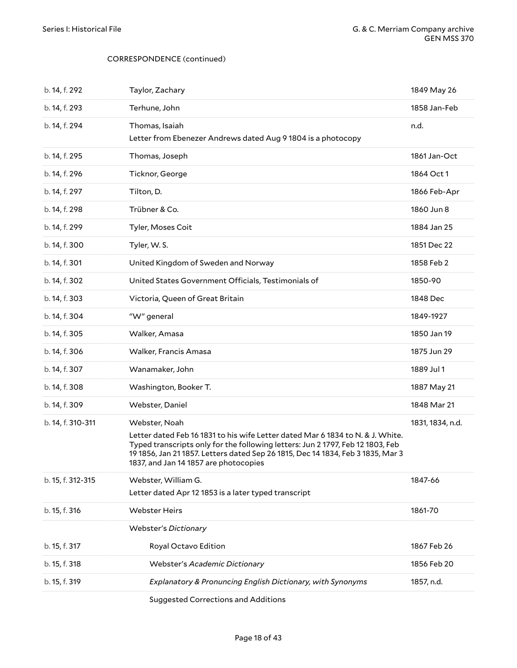| b. 14, f. 292     | Taylor, Zachary                                                                                                                                                                                                                                                                                              | 1849 May 26      |
|-------------------|--------------------------------------------------------------------------------------------------------------------------------------------------------------------------------------------------------------------------------------------------------------------------------------------------------------|------------------|
| b. 14, f. 293     | Terhune, John                                                                                                                                                                                                                                                                                                | 1858 Jan-Feb     |
| b. 14, f. 294     | Thomas, Isaiah<br>Letter from Ebenezer Andrews dated Aug 9 1804 is a photocopy                                                                                                                                                                                                                               | n.d.             |
| b. 14, f. 295     | Thomas, Joseph                                                                                                                                                                                                                                                                                               | 1861 Jan-Oct     |
| b. 14, f. 296     | Ticknor, George                                                                                                                                                                                                                                                                                              | 1864 Oct 1       |
| b. 14, f. 297     | Tilton, D.                                                                                                                                                                                                                                                                                                   | 1866 Feb-Apr     |
| b. 14, f. 298     | Trübner & Co.                                                                                                                                                                                                                                                                                                | 1860 Jun 8       |
| b. 14, f. 299     | Tyler, Moses Coit                                                                                                                                                                                                                                                                                            | 1884 Jan 25      |
| b. 14, f. 300     | Tyler, W.S.                                                                                                                                                                                                                                                                                                  | 1851 Dec 22      |
| b. 14, f. 301     | United Kingdom of Sweden and Norway                                                                                                                                                                                                                                                                          | 1858 Feb 2       |
| b. 14, f. 302     | United States Government Officials, Testimonials of                                                                                                                                                                                                                                                          | 1850-90          |
| b. 14, f. 303     | Victoria, Queen of Great Britain                                                                                                                                                                                                                                                                             | 1848 Dec         |
| b. 14, f. 304     | "W" general                                                                                                                                                                                                                                                                                                  | 1849-1927        |
| b. 14, f. 305     | Walker, Amasa                                                                                                                                                                                                                                                                                                | 1850 Jan 19      |
| b. 14, f. 306     | Walker, Francis Amasa                                                                                                                                                                                                                                                                                        | 1875 Jun 29      |
| b. 14, f. 307     | Wanamaker, John                                                                                                                                                                                                                                                                                              | 1889 Jul 1       |
| b. 14, f. 308     | Washington, Booker T.                                                                                                                                                                                                                                                                                        | 1887 May 21      |
| b. 14, f. 309     | Webster, Daniel                                                                                                                                                                                                                                                                                              | 1848 Mar 21      |
| b. 14, f. 310-311 | Webster, Noah<br>Letter dated Feb 16 1831 to his wife Letter dated Mar 6 1834 to N. & J. White.<br>Typed transcripts only for the following letters: Jun 21797, Feb 12 1803, Feb<br>19 1856, Jan 21 1857. Letters dated Sep 26 1815, Dec 14 1834, Feb 3 1835, Mar 3<br>1837, and Jan 14 1857 are photocopies | 1831, 1834, n.d. |
| b. 15, f. 312-315 | Webster, William G.<br>Letter dated Apr 12 1853 is a later typed transcript                                                                                                                                                                                                                                  | 1847-66          |
| b. 15, f. 316     | <b>Webster Heirs</b>                                                                                                                                                                                                                                                                                         | 1861-70          |
|                   | <b>Webster's Dictionary</b>                                                                                                                                                                                                                                                                                  |                  |
| b. 15, f. 317     | Royal Octavo Edition                                                                                                                                                                                                                                                                                         | 1867 Feb 26      |
| b. 15, f. 318     | Webster's Academic Dictionary                                                                                                                                                                                                                                                                                | 1856 Feb 20      |
| b. 15, f. 319     | Explanatory & Pronuncing English Dictionary, with Synonyms                                                                                                                                                                                                                                                   | 1857, n.d.       |
|                   |                                                                                                                                                                                                                                                                                                              |                  |

Suggested Corrections and Additions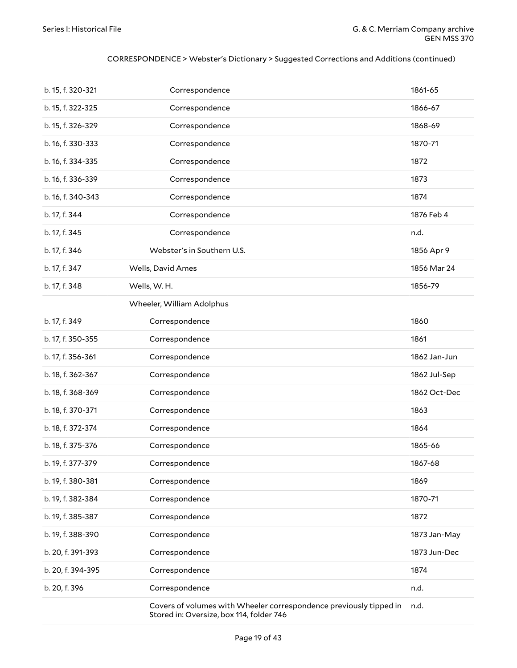#### CORRESPONDENCE > Webster's Dictionary > Suggested Corrections and Additions (continued)

| b. 15, f. 320-321 | Correspondence                                                                                                 | 1861-65      |
|-------------------|----------------------------------------------------------------------------------------------------------------|--------------|
| b. 15, f. 322-325 | Correspondence                                                                                                 | 1866-67      |
| b. 15, f. 326-329 | Correspondence                                                                                                 | 1868-69      |
| b. 16, f. 330-333 | Correspondence                                                                                                 | 1870-71      |
| b. 16, f. 334-335 | Correspondence                                                                                                 | 1872         |
| b. 16, f. 336-339 | Correspondence                                                                                                 | 1873         |
| b. 16, f. 340-343 | Correspondence                                                                                                 | 1874         |
| b. 17, f. 344     | Correspondence                                                                                                 | 1876 Feb 4   |
| b. 17, f. 345     | Correspondence                                                                                                 | n.d.         |
| b. 17, f. 346     | Webster's in Southern U.S.                                                                                     | 1856 Apr 9   |
| b. 17, f. 347     | Wells, David Ames                                                                                              | 1856 Mar 24  |
| b. 17, f. 348     | Wells, W.H.                                                                                                    | 1856-79      |
|                   | Wheeler, William Adolphus                                                                                      |              |
| b. 17, f. 349     | Correspondence                                                                                                 | 1860         |
| b. 17, f. 350-355 | Correspondence                                                                                                 | 1861         |
| b. 17, f. 356-361 | Correspondence                                                                                                 | 1862 Jan-Jun |
| b. 18, f. 362-367 | Correspondence                                                                                                 | 1862 Jul-Sep |
| b. 18, f. 368-369 | Correspondence                                                                                                 | 1862 Oct-Dec |
| b. 18, f. 370-371 | Correspondence                                                                                                 | 1863         |
| b. 18, f. 372-374 | Correspondence                                                                                                 | 1864         |
| b. 18, f. 375-376 | Correspondence                                                                                                 | 1865-66      |
| b. 19, f. 377-379 | Correspondence                                                                                                 | 1867-68      |
| b. 19, f. 380-381 | Correspondence                                                                                                 | 1869         |
| b. 19, f. 382-384 | Correspondence                                                                                                 | 1870-71      |
| b. 19, f. 385-387 | Correspondence                                                                                                 | 1872         |
| b. 19, f. 388-390 | Correspondence                                                                                                 | 1873 Jan-May |
| b. 20, f. 391-393 | Correspondence                                                                                                 | 1873 Jun-Dec |
| b. 20, f. 394-395 | Correspondence                                                                                                 | 1874         |
| b. 20, f. 396     | Correspondence                                                                                                 | n.d.         |
|                   | Covers of volumes with Wheeler correspondence previously tipped in<br>Stored in: Oversize, box 114, folder 746 | n.d.         |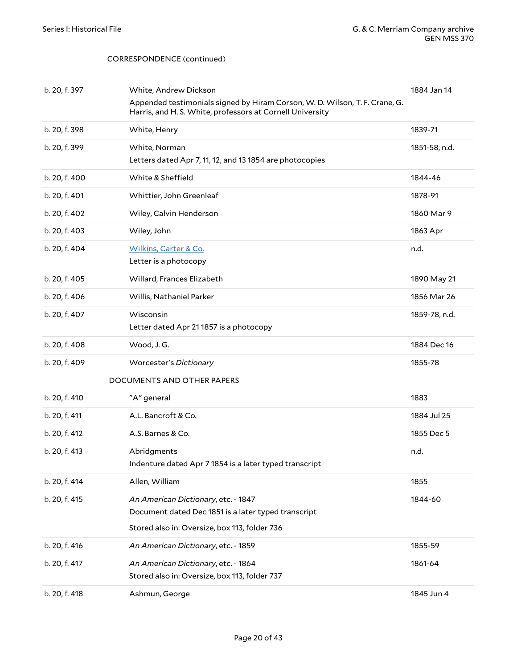<span id="page-19-0"></span>

| b. 20, f. 397 | White, Andrew Dickson<br>Appended testimonials signed by Hiram Corson, W. D. Wilson, T. F. Crane, G.<br>Harris, and H. S. White, professors at Cornell University | 1884 Jan 14   |
|---------------|-------------------------------------------------------------------------------------------------------------------------------------------------------------------|---------------|
| b. 20, f. 398 | White, Henry                                                                                                                                                      | 1839-71       |
| b. 20, f. 399 | White, Norman<br>Letters dated Apr 7, 11, 12, and 13 1854 are photocopies                                                                                         | 1851-58, n.d. |
| b. 20, f. 400 | White & Sheffield                                                                                                                                                 | 1844-46       |
| b. 20, f. 401 | Whittier, John Greenleaf                                                                                                                                          | 1878-91       |
| b. 20, f. 402 | Wiley, Calvin Henderson                                                                                                                                           | 1860 Mar 9    |
| b. 20, f. 403 | Wiley, John                                                                                                                                                       | 1863 Apr      |
| b. 20, f. 404 | <b>Wilkins, Carter &amp; Co.</b><br>Letter is a photocopy                                                                                                         | n.d.          |
| b. 20, f. 405 | Willard, Frances Elizabeth                                                                                                                                        | 1890 May 21   |
| b. 20, f. 406 | Willis, Nathaniel Parker                                                                                                                                          | 1856 Mar 26   |
| b. 20, f. 407 | Wisconsin<br>Letter dated Apr 211857 is a photocopy                                                                                                               | 1859-78, n.d. |
| b. 20, f. 408 | Wood, J.G.                                                                                                                                                        | 1884 Dec 16   |
| b. 20, f. 409 | <b>Worcester's Dictionary</b>                                                                                                                                     | 1855-78       |
|               | DOCUMENTS AND OTHER PAPERS                                                                                                                                        |               |
| b. 20, f. 410 | "A" general                                                                                                                                                       | 1883          |
| b. 20, f. 411 | A.L. Bancroft & Co.                                                                                                                                               | 1884 Jul 25   |
| b. 20, f. 412 | A.S. Barnes & Co.                                                                                                                                                 | 1855 Dec 5    |
| b. 20, f. 413 | Abridgments<br>Indenture dated Apr 7 1854 is a later typed transcript                                                                                             | n.d.          |
| b. 20, f. 414 | Allen, William                                                                                                                                                    | 1855          |
| b. 20, f. 415 | An American Dictionary, etc. - 1847<br>Document dated Dec 1851 is a later typed transcript<br>Stored also in: Oversize, box 113, folder 736                       | 1844-60       |
| b. 20, f. 416 | An American Dictionary, etc. - 1859                                                                                                                               | 1855-59       |
| b. 20, f. 417 | An American Dictionary, etc. - 1864<br>Stored also in: Oversize, box 113, folder 737                                                                              | 1861-64       |
| b. 20, f. 418 | Ashmun, George                                                                                                                                                    | 1845 Jun 4    |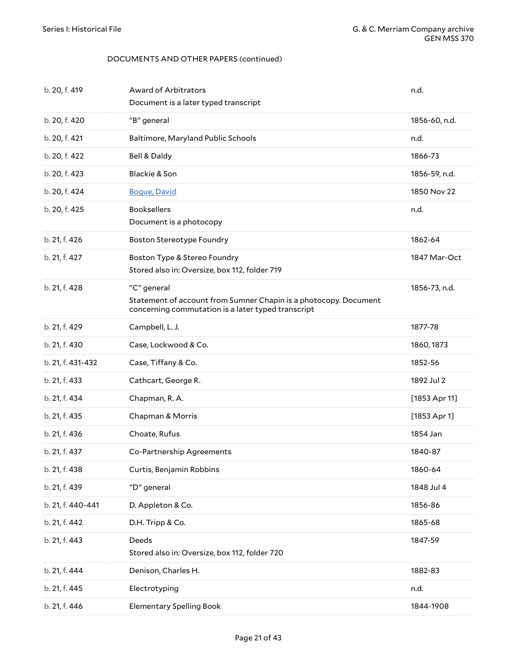| b. 20, f. 419     | Award of Arbitrators<br>Document is a later typed transcript                                                                          | n.d.            |
|-------------------|---------------------------------------------------------------------------------------------------------------------------------------|-----------------|
| b. 20, f. 420     | "B" general                                                                                                                           | 1856-60, n.d.   |
| b. 20, f. 421     | Baltimore, Maryland Public Schools                                                                                                    | n.d.            |
| b. 20, f. 422     | Bell & Daldy                                                                                                                          | 1866-73         |
| b. 20, f. 423     | Blackie & Son                                                                                                                         | 1856-59, n.d.   |
| b. 20, f. 424     | <b>Bogue, David</b>                                                                                                                   | 1850 Nov 22     |
| b. 20, f. 425     | <b>Booksellers</b><br>Document is a photocopy                                                                                         | n.d.            |
| b. 21, f. 426     | <b>Boston Stereotype Foundry</b>                                                                                                      | 1862-64         |
| b. 21, f. 427     | Boston Type & Stereo Foundry<br>Stored also in: Oversize, box 112, folder 719                                                         | 1847 Mar-Oct    |
| b. 21, f. 428     | "C" general<br>Statement of account from Sumner Chapin is a photocopy. Document<br>concerning commutation is a later typed transcript | 1856-73, n.d.   |
| b. 21, f. 429     | Campbell, L. J.                                                                                                                       | 1877-78         |
| b. 21, f. 430     | Case, Lockwood & Co.                                                                                                                  | 1860, 1873      |
| b. 21, f. 431-432 | Case, Tiffany & Co.                                                                                                                   | 1852-56         |
| b. 21, f. 433     | Cathcart, George R.                                                                                                                   | 1892 Jul 2      |
| b. 21, f. 434     | Chapman, R. A.                                                                                                                        | $[1853$ Apr 11] |
| b. 21, f. 435     | Chapman & Morris                                                                                                                      | $[1853$ Apr 1]  |
| b. 21, f. 436     | Choate, Rufus                                                                                                                         | 1854 Jan        |
| b. 21, f. 437     | Co-Partnership Agreements                                                                                                             | 1840-87         |
| b. 21, f. 438     | Curtis, Benjamin Robbins                                                                                                              | 1860-64         |
| b. 21, f. 439     | "D" general                                                                                                                           | 1848 Jul 4      |
| b. 21, f. 440-441 | D. Appleton & Co.                                                                                                                     | 1856-86         |
| b. 21, f. 442     | D.H. Tripp & Co.                                                                                                                      | 1865-68         |
| b. 21, f. 443     | Deeds<br>Stored also in: Oversize, box 112, folder 720                                                                                | 1847-59         |
| b. 21, f. 444     | Denison, Charles H.                                                                                                                   | 1882-83         |
| b. 21, f. 445     | Electrotyping                                                                                                                         | n.d.            |
| b. 21, f. 446     | <b>Elementary Spelling Book</b>                                                                                                       | 1844-1908       |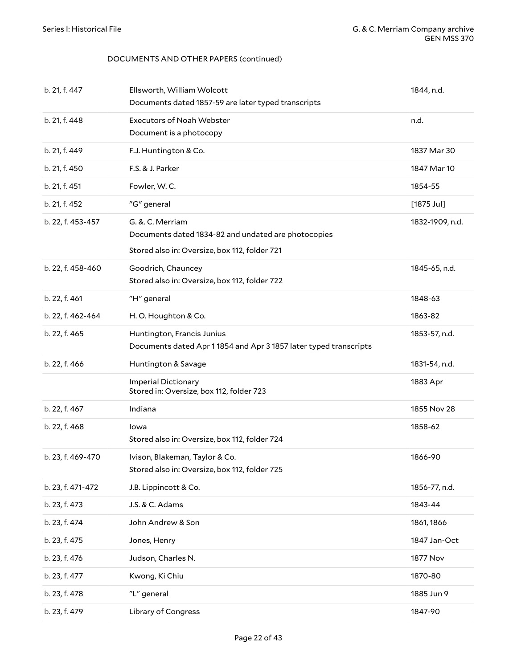| b. 21, f. 447     | Ellsworth, William Wolcott<br>Documents dated 1857-59 are later typed transcripts                                        | 1844, n.d.      |
|-------------------|--------------------------------------------------------------------------------------------------------------------------|-----------------|
| b. 21, f. 448     | <b>Executors of Noah Webster</b><br>Document is a photocopy                                                              | n.d.            |
| b. 21, f. 449     | F.J. Huntington & Co.                                                                                                    | 1837 Mar 30     |
| b. 21, f. 450     | F.S. & J. Parker                                                                                                         | 1847 Mar 10     |
| b. 21, f. 451     | Fowler, W.C.                                                                                                             | 1854-55         |
| b. 21, f. 452     | "G" general                                                                                                              | $[1875$ Jul]    |
| b. 22, f. 453-457 | G. &. C. Merriam<br>Documents dated 1834-82 and undated are photocopies<br>Stored also in: Oversize, box 112, folder 721 | 1832-1909, n.d. |
| b. 22, f. 458-460 | Goodrich, Chauncey<br>Stored also in: Oversize, box 112, folder 722                                                      | 1845-65, n.d.   |
| b. 22, f. 461     | "H" general                                                                                                              | 1848-63         |
| b. 22, f. 462-464 | H.O. Houghton & Co.                                                                                                      | 1863-82         |
| b. 22, f. 465     | Huntington, Francis Junius<br>Documents dated Apr 11854 and Apr 31857 later typed transcripts                            | 1853-57, n.d.   |
| b. 22, f. 466     | Huntington & Savage                                                                                                      | 1831-54, n.d.   |
|                   | <b>Imperial Dictionary</b><br>Stored in: Oversize, box 112, folder 723                                                   | 1883 Apr        |
| b. 22, f. 467     | Indiana                                                                                                                  | 1855 Nov 28     |
| b. 22, f. 468     | lowa<br>Stored also in: Oversize, box 112, folder 724                                                                    | 1858-62         |
| b. 23, f. 469-470 | Ivison, Blakeman, Taylor & Co.<br>Stored also in: Oversize, box 112, folder 725                                          | 1866-90         |
| b. 23, f. 471-472 | J.B. Lippincott & Co.                                                                                                    | 1856-77, n.d.   |
| b. 23, f. 473     | J.S. & C. Adams                                                                                                          | 1843-44         |
| b. 23, f. 474     | John Andrew & Son                                                                                                        | 1861, 1866      |
| b. 23, f. 475     | Jones, Henry                                                                                                             | 1847 Jan-Oct    |
| b. 23, f. 476     | Judson, Charles N.                                                                                                       | 1877 Nov        |
| b. 23, f. 477     | Kwong, Ki Chiu                                                                                                           | 1870-80         |
| b. 23, f. 478     | "L" general                                                                                                              | 1885 Jun 9      |
| b. 23, f. 479     | Library of Congress                                                                                                      | 1847-90         |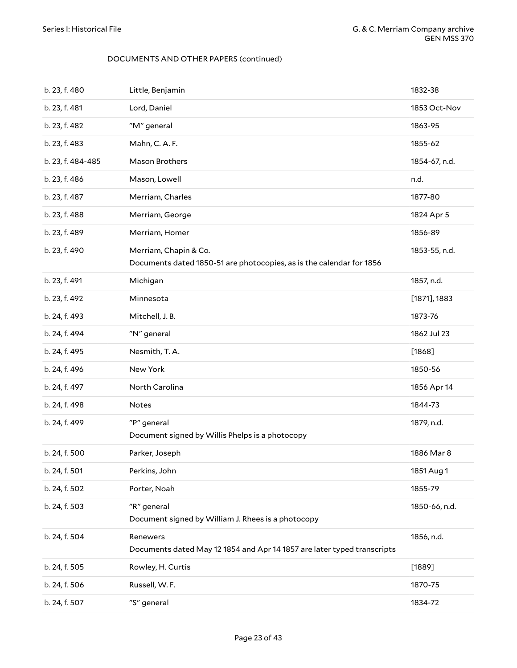| b. 23, f. 480     | Little, Benjamin                                                                              | 1832-38         |
|-------------------|-----------------------------------------------------------------------------------------------|-----------------|
| b. 23, f. 481     | Lord, Daniel                                                                                  | 1853 Oct-Nov    |
| b. 23, f. 482     | "M" general                                                                                   | 1863-95         |
| b. 23, f. 483     | Mahn, C. A. F.                                                                                | 1855-62         |
| b. 23, f. 484-485 | Mason Brothers                                                                                | 1854-67, n.d.   |
| b. 23, f. 486     | Mason, Lowell                                                                                 | n.d.            |
| b. 23, f. 487     | Merriam, Charles                                                                              | 1877-80         |
| b. 23, f. 488     | Merriam, George                                                                               | 1824 Apr 5      |
| b. 23, f. 489     | Merriam, Homer                                                                                | 1856-89         |
| b. 23, f. 490     | Merriam, Chapin & Co.<br>Documents dated 1850-51 are photocopies, as is the calendar for 1856 | 1853-55, n.d.   |
| b. 23, f. 491     | Michigan                                                                                      | 1857, n.d.      |
| b. 23, f. 492     | Minnesota                                                                                     | $[1871]$ , 1883 |
| b. 24, f. 493     | Mitchell, J.B.                                                                                | 1873-76         |
| b. 24, f. 494     | "N" general                                                                                   | 1862 Jul 23     |
| b. 24, f. 495     | Nesmith, T.A.                                                                                 | $[1868]$        |
| b. 24, f. 496     | New York                                                                                      | 1850-56         |
| b. 24, f. 497     | North Carolina                                                                                | 1856 Apr 14     |
| b. 24, f. 498     | <b>Notes</b>                                                                                  | 1844-73         |
| b. 24, f. 499     | "P" general<br>Document signed by Willis Phelps is a photocopy                                | 1879, n.d.      |
| b. 24, f. 500     | Parker, Joseph                                                                                | 1886 Mar 8      |
| b. 24, f. 501     | Perkins, John                                                                                 | 1851 Aug 1      |
| b. 24, f. 502     | Porter, Noah                                                                                  | 1855-79         |
| b. 24, f. 503     | "R" general<br>Document signed by William J. Rhees is a photocopy                             | 1850-66, n.d.   |
| b. 24, f. 504     | Renewers<br>Documents dated May 12 1854 and Apr 14 1857 are later typed transcripts           | 1856, n.d.      |
| b. 24, f. 505     | Rowley, H. Curtis                                                                             | $[1889]$        |
| b. 24, f. 506     | Russell, W. F.                                                                                | 1870-75         |
| b. 24, f. 507     | "S" general                                                                                   | 1834-72         |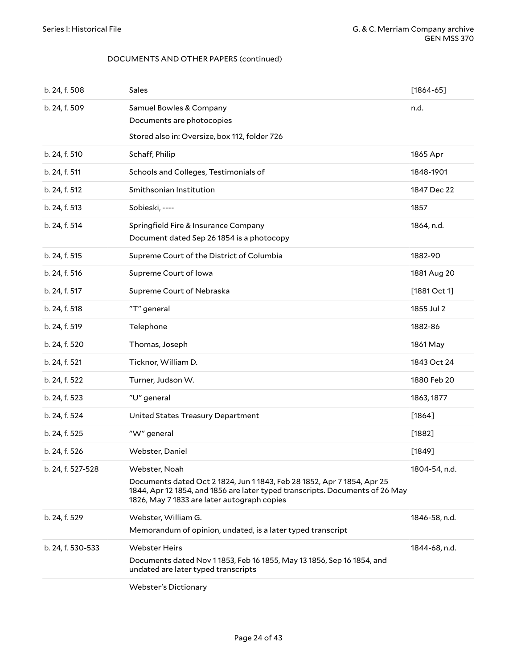| b. 24, f. 508     | Sales                                                                                                                                                                                                                   | $[1864 - 65]$ |
|-------------------|-------------------------------------------------------------------------------------------------------------------------------------------------------------------------------------------------------------------------|---------------|
| b. 24, f. 509     | Samuel Bowles & Company<br>Documents are photocopies                                                                                                                                                                    | n.d.          |
|                   | Stored also in: Oversize, box 112, folder 726                                                                                                                                                                           |               |
| b. 24, f. 510     | Schaff, Philip                                                                                                                                                                                                          | 1865 Apr      |
| b. 24, f. 511     | Schools and Colleges, Testimonials of                                                                                                                                                                                   | 1848-1901     |
| b. 24, f. 512     | Smithsonian Institution                                                                                                                                                                                                 | 1847 Dec 22   |
| b. 24, f. 513     | Sobieski, ----                                                                                                                                                                                                          | 1857          |
| b. 24, f. 514     | Springfield Fire & Insurance Company<br>Document dated Sep 26 1854 is a photocopy                                                                                                                                       | 1864, n.d.    |
| b. 24, f. 515     | Supreme Court of the District of Columbia                                                                                                                                                                               | 1882-90       |
| b. 24, f. 516     | Supreme Court of Iowa                                                                                                                                                                                                   | 1881 Aug 20   |
| b. 24, f. 517     | Supreme Court of Nebraska                                                                                                                                                                                               | [1881 Oct 1]  |
| b. 24, f. 518     | "T" general                                                                                                                                                                                                             | 1855 Jul 2    |
| b. 24, f. 519     | Telephone                                                                                                                                                                                                               | 1882-86       |
| b. 24, f. 520     | Thomas, Joseph                                                                                                                                                                                                          | 1861 May      |
| b. 24, f. 521     | Ticknor, William D.                                                                                                                                                                                                     | 1843 Oct 24   |
| b. 24, f. 522     | Turner, Judson W.                                                                                                                                                                                                       | 1880 Feb 20   |
| b. 24, f. 523     | "U" general                                                                                                                                                                                                             | 1863, 1877    |
| b. 24, f. 524     | United States Treasury Department                                                                                                                                                                                       | $[1864]$      |
| b. 24, f. 525     | "W" general                                                                                                                                                                                                             | [1882]        |
| b. 24, f. 526     | Webster, Daniel                                                                                                                                                                                                         | $[1849]$      |
| b. 24, f. 527-528 | Webster, Noah<br>Documents dated Oct 2 1824, Jun 1 1843, Feb 28 1852, Apr 7 1854, Apr 25<br>1844, Apr 12 1854, and 1856 are later typed transcripts. Documents of 26 May<br>1826, May 7 1833 are later autograph copies | 1804-54, n.d. |
| b. 24, f. 529     | Webster, William G.<br>Memorandum of opinion, undated, is a later typed transcript                                                                                                                                      | 1846-58, n.d. |
| b. 24, f. 530-533 | <b>Webster Heirs</b><br>Documents dated Nov 1 1853, Feb 16 1855, May 13 1856, Sep 16 1854, and<br>undated are later typed transcripts                                                                                   | 1844-68, n.d. |
|                   | <b>Webster's Dictionary</b>                                                                                                                                                                                             |               |

Page 24 of 43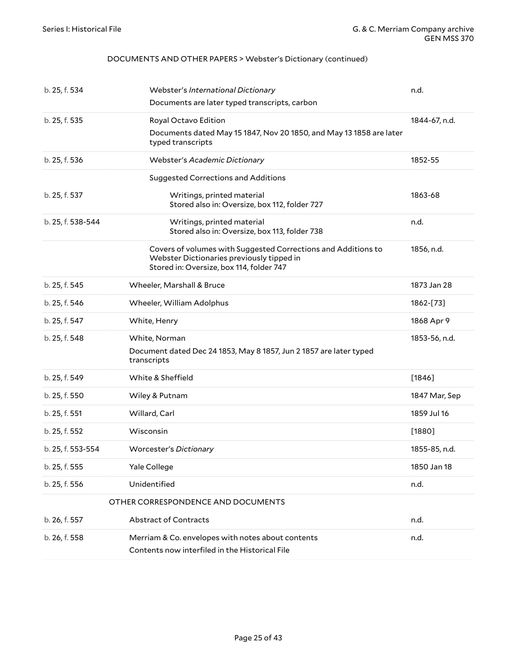#### DOCUMENTS AND OTHER PAPERS > Webster's Dictionary (continued)

<span id="page-24-0"></span>

| b. 25, f. 534     | Webster's International Dictionary                                                                                                                     | n.d.          |
|-------------------|--------------------------------------------------------------------------------------------------------------------------------------------------------|---------------|
|                   | Documents are later typed transcripts, carbon                                                                                                          |               |
| b. 25, f. 535     | Royal Octavo Edition                                                                                                                                   | 1844-67, n.d. |
|                   | Documents dated May 15 1847, Nov 20 1850, and May 13 1858 are later<br>typed transcripts                                                               |               |
| b. 25, f. 536     | Webster's Academic Dictionary                                                                                                                          | 1852-55       |
|                   | <b>Suggested Corrections and Additions</b>                                                                                                             |               |
| b. 25, f. 537     | Writings, printed material<br>Stored also in: Oversize, box 112, folder 727                                                                            | 1863-68       |
| b. 25, f. 538-544 | Writings, printed material<br>Stored also in: Oversize, box 113, folder 738                                                                            | n.d.          |
|                   | Covers of volumes with Suggested Corrections and Additions to<br>Webster Dictionaries previously tipped in<br>Stored in: Oversize, box 114, folder 747 | 1856, n.d.    |
| b. 25, f. 545     | Wheeler, Marshall & Bruce                                                                                                                              | 1873 Jan 28   |
| b. 25, f. 546     | Wheeler, William Adolphus                                                                                                                              | 1862-[73]     |
| b. 25, f. 547     | White, Henry                                                                                                                                           | 1868 Apr 9    |
| b. 25, f. 548     | White, Norman                                                                                                                                          | 1853-56, n.d. |
|                   | Document dated Dec 24 1853, May 8 1857, Jun 2 1857 are later typed<br>transcripts                                                                      |               |
| b. 25, f. 549     | White & Sheffield                                                                                                                                      | $[1846]$      |
| b. 25, f. 550     | Wiley & Putnam                                                                                                                                         | 1847 Mar, Sep |
| b. 25, f. 551     | Willard, Carl                                                                                                                                          | 1859 Jul 16   |
| b. 25, f. 552     | Wisconsin                                                                                                                                              | $[1880]$      |
| b. 25, f. 553-554 | <b>Worcester's Dictionary</b>                                                                                                                          | 1855-85, n.d. |
| b. 25, f. 555     | Yale College                                                                                                                                           | 1850 Jan 18   |
| b. 25, f. 556     | Unidentified                                                                                                                                           | n.d.          |
|                   | OTHER CORRESPONDENCE AND DOCUMENTS                                                                                                                     |               |
| b. 26, f. 557     | Abstract of Contracts                                                                                                                                  | n.d.          |
| b. 26, f. 558     | Merriam & Co. envelopes with notes about contents<br>Contents now interfiled in the Historical File                                                    | n.d.          |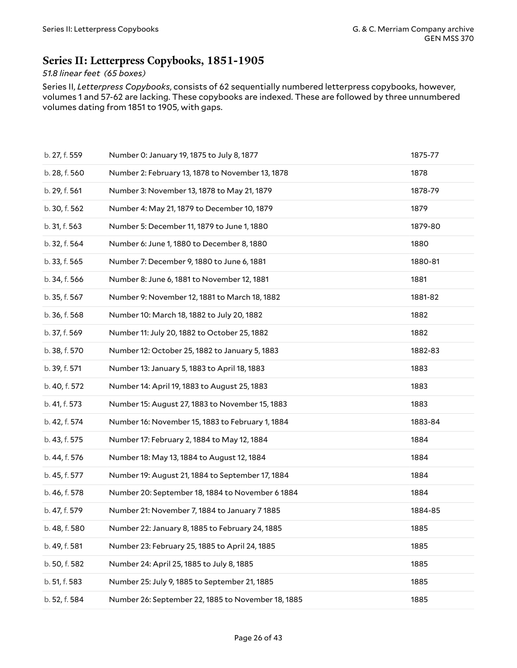### <span id="page-25-0"></span>**Series II: Letterpress Copybooks, 1851-1905**

#### *51.8 linear feet (65 boxes)*

Series II, *Letterpress Copybooks*, consists of 62 sequentially numbered letterpress copybooks, however, volumes 1 and 57-62 are lacking. These copybooks are indexed. These are followed by three unnumbered volumes dating from 1851 to 1905, with gaps.

| b. 27, f. 559 | Number 0: January 19, 1875 to July 8, 1877         | 1875-77 |
|---------------|----------------------------------------------------|---------|
| b. 28, f. 560 | Number 2: February 13, 1878 to November 13, 1878   | 1878    |
| b. 29, f. 561 | Number 3: November 13, 1878 to May 21, 1879        | 1878-79 |
| b. 30, f. 562 | Number 4: May 21, 1879 to December 10, 1879        | 1879    |
| b. 31, f. 563 | Number 5: December 11, 1879 to June 1, 1880        | 1879-80 |
| b. 32, f. 564 | Number 6: June 1, 1880 to December 8, 1880         | 1880    |
| b. 33, f. 565 | Number 7: December 9, 1880 to June 6, 1881         | 1880-81 |
| b. 34, f. 566 | Number 8: June 6, 1881 to November 12, 1881        | 1881    |
| b. 35, f. 567 | Number 9: November 12, 1881 to March 18, 1882      | 1881-82 |
| b. 36, f. 568 | Number 10: March 18, 1882 to July 20, 1882         | 1882    |
| b. 37, f. 569 | Number 11: July 20, 1882 to October 25, 1882       | 1882    |
| b. 38, f. 570 | Number 12: October 25, 1882 to January 5, 1883     | 1882-83 |
| b. 39, f. 571 | Number 13: January 5, 1883 to April 18, 1883       | 1883    |
| b. 40, f. 572 | Number 14: April 19, 1883 to August 25, 1883       | 1883    |
| b. 41, f. 573 | Number 15: August 27, 1883 to November 15, 1883    | 1883    |
| b. 42, f. 574 | Number 16: November 15, 1883 to February 1, 1884   | 1883-84 |
| b. 43, f. 575 | Number 17: February 2, 1884 to May 12, 1884        | 1884    |
| b. 44, f. 576 | Number 18: May 13, 1884 to August 12, 1884         | 1884    |
| b. 45, f. 577 | Number 19: August 21, 1884 to September 17, 1884   | 1884    |
| b. 46, f. 578 | Number 20: September 18, 1884 to November 6 1884   | 1884    |
| b. 47, f. 579 | Number 21: November 7, 1884 to January 7 1885      | 1884-85 |
| b. 48, f. 580 | Number 22: January 8, 1885 to February 24, 1885    | 1885    |
| b. 49, f. 581 | Number 23: February 25, 1885 to April 24, 1885     | 1885    |
| b. 50, f. 582 | Number 24: April 25, 1885 to July 8, 1885          | 1885    |
| b. 51, f. 583 | Number 25: July 9, 1885 to September 21, 1885      | 1885    |
| b. 52, f. 584 | Number 26: September 22, 1885 to November 18, 1885 | 1885    |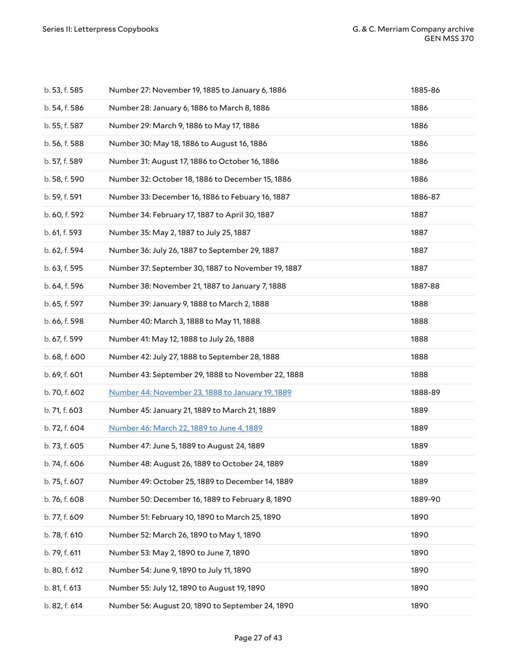| b. 53, f. 585 | Number 27: November 19, 1885 to January 6, 1886    | 1885-86 |
|---------------|----------------------------------------------------|---------|
| b. 54, f. 586 | Number 28: January 6, 1886 to March 8, 1886        | 1886    |
| b. 55, f. 587 | Number 29: March 9, 1886 to May 17, 1886           | 1886    |
| b. 56, f. 588 | Number 30: May 18, 1886 to August 16, 1886         | 1886    |
| b. 57, f. 589 | Number 31: August 17, 1886 to October 16, 1886     | 1886    |
| b. 58, f. 590 | Number 32: October 18, 1886 to December 15, 1886   | 1886    |
| b. 59, f. 591 | Number 33: December 16, 1886 to Febuary 16, 1887   | 1886-87 |
| b. 60, f. 592 | Number 34: February 17, 1887 to April 30, 1887     | 1887    |
| b. 61, f. 593 | Number 35: May 2, 1887 to July 25, 1887            | 1887    |
| b. 62, f. 594 | Number 36: July 26, 1887 to September 29, 1887     | 1887    |
| b. 63, f. 595 | Number 37: September 30, 1887 to November 19, 1887 | 1887    |
| b. 64, f. 596 | Number 38: November 21, 1887 to January 7, 1888    | 1887-88 |
| b. 65, f. 597 | Number 39: January 9, 1888 to March 2, 1888        | 1888    |
| b. 66, f. 598 | Number 40: March 3, 1888 to May 11, 1888           | 1888    |
| b. 67, f. 599 | Number 41: May 12, 1888 to July 26, 1888           | 1888    |
| b. 68, f. 600 | Number 42: July 27, 1888 to September 28, 1888     | 1888    |
| b. 69, f. 601 | Number 43: September 29, 1888 to November 22, 1888 | 1888    |
| b. 70, f. 602 | Number 44: November 23, 1888 to January 19, 1889   | 1888-89 |
| b. 71, f. 603 | Number 45: January 21, 1889 to March 21, 1889      | 1889    |
| b. 72, f. 604 | Number 46: March 22, 1889 to June 4, 1889          | 1889    |
| b. 73, f. 605 | Number 47: June 5, 1889 to August 24, 1889         | 1889    |
| b. 74, f. 606 | Number 48: August 26, 1889 to October 24, 1889     | 1889    |
| b. 75, f. 607 | Number 49: October 25, 1889 to December 14, 1889   | 1889    |
| b. 76, f. 608 | Number 50: December 16, 1889 to February 8, 1890   | 1889-90 |
| b. 77, f. 609 | Number 51: February 10, 1890 to March 25, 1890     | 1890    |
| b. 78, f. 610 | Number 52: March 26, 1890 to May 1, 1890           | 1890    |
| b. 79, f. 611 | Number 53: May 2, 1890 to June 7, 1890             | 1890    |
| b. 80, f. 612 | Number 54: June 9, 1890 to July 11, 1890           | 1890    |
| b. 81, f. 613 | Number 55: July 12, 1890 to August 19, 1890        | 1890    |
| b. 82, f. 614 | Number 56: August 20, 1890 to September 24, 1890   | 1890    |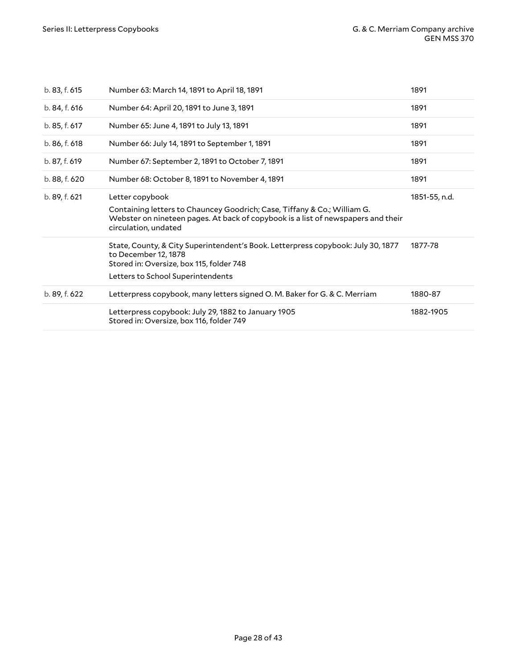| b. 83, f. 615 | Number 63: March 14, 1891 to April 18, 1891                                                                                                                                                             | 1891          |
|---------------|---------------------------------------------------------------------------------------------------------------------------------------------------------------------------------------------------------|---------------|
| b. 84, f. 616 | Number 64: April 20, 1891 to June 3, 1891                                                                                                                                                               | 1891          |
| b. 85, f. 617 | Number 65: June 4, 1891 to July 13, 1891                                                                                                                                                                | 1891          |
| b. 86, f. 618 | Number 66: July 14, 1891 to September 1, 1891                                                                                                                                                           | 1891          |
| b. 87, f. 619 | Number 67: September 2, 1891 to October 7, 1891                                                                                                                                                         | 1891          |
| b. 88, f. 620 | Number 68: October 8, 1891 to November 4, 1891                                                                                                                                                          | 1891          |
| b. 89, f. 621 | Letter copybook<br>Containing letters to Chauncey Goodrich; Case, Tiffany & Co.; William G.<br>Webster on nineteen pages. At back of copybook is a list of newspapers and their<br>circulation, undated | 1851-55, n.d. |
|               | State, County, & City Superintendent's Book. Letterpress copybook: July 30, 1877<br>to December 12, 1878<br>Stored in: Oversize, box 115, folder 748<br>Letters to School Superintendents               | 1877-78       |
| b. 89, f. 622 | Letterpress copybook, many letters signed O.M. Baker for G. & C. Merriam                                                                                                                                | 1880-87       |
|               | Letterpress copybook: July 29, 1882 to January 1905<br>Stored in: Oversize, box 116, folder 749                                                                                                         | 1882-1905     |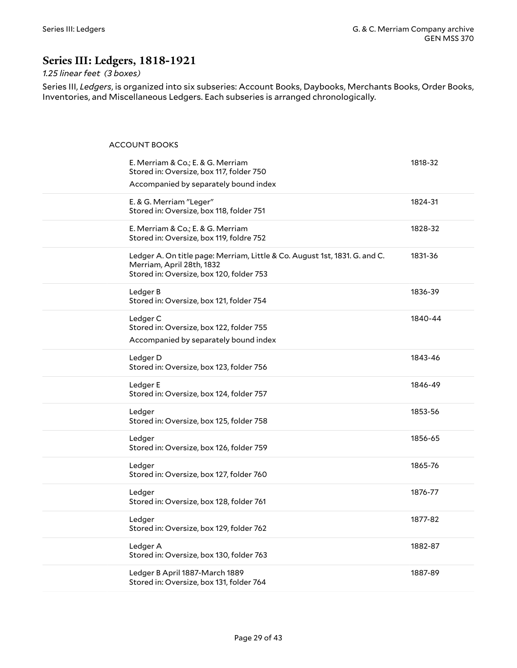## <span id="page-28-0"></span>**Series III: Ledgers, 1818-1921**

#### *1.25 linear feet (3 boxes)*

Series III, *Ledgers*, is organized into six subseries: Account Books, Daybooks, Merchants Books, Order Books, Inventories, and Miscellaneous Ledgers. Each subseries is arranged chronologically.

<span id="page-28-1"></span>ACCOUNT BOOKS

| E. Merriam & Co.; E. & G. Merriam<br>Stored in: Oversize, box 117, folder 750<br>Accompanied by separately bound index                              | 1818-32 |
|-----------------------------------------------------------------------------------------------------------------------------------------------------|---------|
| E. & G. Merriam "Leger"<br>Stored in: Oversize, box 118, folder 751                                                                                 | 1824-31 |
| E. Merriam & Co.; E. & G. Merriam<br>Stored in: Oversize, box 119, foldre 752                                                                       | 1828-32 |
| Ledger A. On title page: Merriam, Little & Co. August 1st, 1831. G. and C.<br>Merriam, April 28th, 1832<br>Stored in: Oversize, box 120, folder 753 | 1831-36 |
| Ledger B<br>Stored in: Oversize, box 121, folder 754                                                                                                | 1836-39 |
| Ledger C<br>Stored in: Oversize, box 122, folder 755<br>Accompanied by separately bound index                                                       | 1840-44 |
| Ledger D<br>Stored in: Oversize, box 123, folder 756                                                                                                | 1843-46 |
| Ledger E<br>Stored in: Oversize, box 124, folder 757                                                                                                | 1846-49 |
| Ledger<br>Stored in: Oversize, box 125, folder 758                                                                                                  | 1853-56 |
| Ledger<br>Stored in: Oversize, box 126, folder 759                                                                                                  | 1856-65 |
| Ledger<br>Stored in: Oversize, box 127, folder 760                                                                                                  | 1865-76 |
| Ledger<br>Stored in: Oversize, box 128, folder 761                                                                                                  | 1876-77 |
| Ledger<br>Stored in: Oversize, box 129, folder 762                                                                                                  | 1877-82 |
| Ledger A<br>Stored in: Oversize, box 130, folder 763                                                                                                | 1882-87 |
| Ledger B April 1887-March 1889<br>Stored in: Oversize, box 131, folder 764                                                                          | 1887-89 |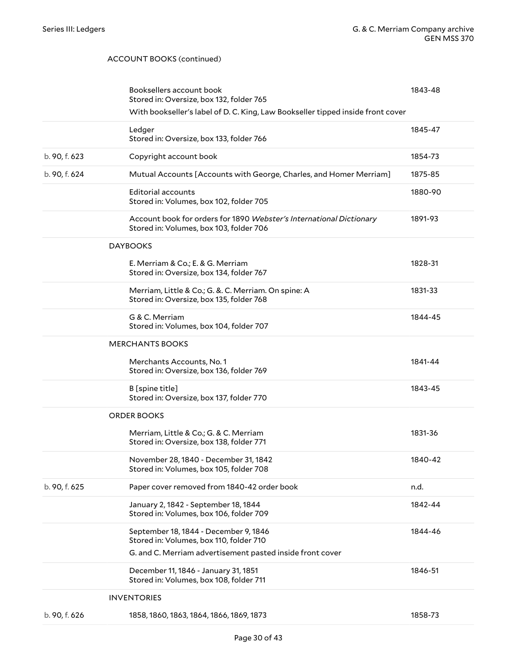#### ACCOUNT BOOKS (continued)

<span id="page-29-3"></span><span id="page-29-2"></span><span id="page-29-1"></span><span id="page-29-0"></span>

|               | Booksellers account book<br>Stored in: Oversize, box 132, folder 765                                           | 1843-48 |
|---------------|----------------------------------------------------------------------------------------------------------------|---------|
|               | With bookseller's label of D. C. King, Law Bookseller tipped inside front cover                                |         |
|               |                                                                                                                |         |
|               | Ledger<br>Stored in: Oversize, box 133, folder 766                                                             | 1845-47 |
| b. 90, f. 623 | Copyright account book                                                                                         | 1854-73 |
| b. 90, f. 624 | Mutual Accounts [Accounts with George, Charles, and Homer Merriam]                                             | 1875-85 |
|               | Editorial accounts<br>Stored in: Volumes, box 102, folder 705                                                  | 1880-90 |
|               | Account book for orders for 1890 Webster's International Dictionary<br>Stored in: Volumes, box 103, folder 706 | 1891-93 |
|               | <b>DAYBOOKS</b>                                                                                                |         |
|               | E. Merriam & Co.; E. & G. Merriam<br>Stored in: Oversize, box 134, folder 767                                  | 1828-31 |
|               | Merriam, Little & Co.; G. &. C. Merriam. On spine: A<br>Stored in: Oversize, box 135, folder 768               | 1831-33 |
|               | G & C. Merriam<br>Stored in: Volumes, box 104, folder 707                                                      | 1844-45 |
|               | <b>MERCHANTS BOOKS</b>                                                                                         |         |
|               | Merchants Accounts, No. 1<br>Stored in: Oversize, box 136, folder 769                                          | 1841-44 |
|               | B [spine title]<br>Stored in: Oversize, box 137, folder 770                                                    | 1843-45 |
|               | <b>ORDER BOOKS</b>                                                                                             |         |
|               | Merriam, Little & Co.; G. & C. Merriam<br>Stored in: Oversize, box 138, folder 771                             | 1831-36 |
|               | November 28, 1840 - December 31, 1842<br>Stored in: Volumes, box 105, folder 708                               | 1840-42 |
| b. 90, f. 625 | Paper cover removed from 1840-42 order book                                                                    | n.d.    |
|               | January 2, 1842 - September 18, 1844<br>Stored in: Volumes, box 106, folder 709                                | 1842-44 |
|               | September 18, 1844 - December 9, 1846<br>Stored in: Volumes, box 110, folder 710                               | 1844-46 |
|               | G. and C. Merriam advertisement pasted inside front cover                                                      |         |
|               | December 11, 1846 - January 31, 1851<br>Stored in: Volumes, box 108, folder 711                                | 1846-51 |
|               | <b>INVENTORIES</b>                                                                                             |         |
| b. 90, f. 626 | 1858, 1860, 1863, 1864, 1866, 1869, 1873                                                                       | 1858-73 |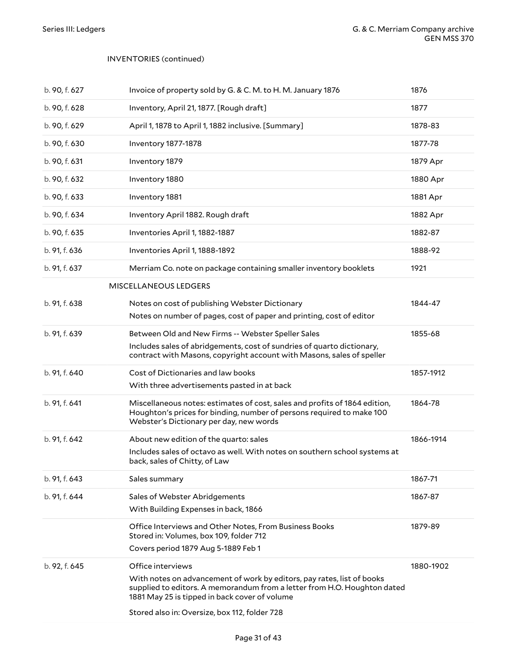#### INVENTORIES (continued)

<span id="page-30-0"></span>

| b. 90, f. 627 | Invoice of property sold by G. & C. M. to H. M. January 1876                                                                                                                                   | 1876      |
|---------------|------------------------------------------------------------------------------------------------------------------------------------------------------------------------------------------------|-----------|
| b. 90, f. 628 | Inventory, April 21, 1877. [Rough draft]                                                                                                                                                       | 1877      |
| b. 90, f. 629 | April 1, 1878 to April 1, 1882 inclusive. [Summary]                                                                                                                                            | 1878-83   |
| b. 90, f. 630 | Inventory 1877-1878                                                                                                                                                                            | 1877-78   |
| b. 90, f. 631 | Inventory 1879                                                                                                                                                                                 | 1879 Apr  |
| b. 90, f. 632 | Inventory 1880                                                                                                                                                                                 | 1880 Apr  |
| b. 90, f. 633 | Inventory 1881                                                                                                                                                                                 | 1881 Apr  |
| b. 90, f. 634 | Inventory April 1882. Rough draft                                                                                                                                                              | 1882 Apr  |
| b. 90, f. 635 | Inventories April 1, 1882-1887                                                                                                                                                                 | 1882-87   |
| b. 91, f. 636 | Inventories April 1, 1888-1892                                                                                                                                                                 | 1888-92   |
| b. 91, f. 637 | Merriam Co. note on package containing smaller inventory booklets                                                                                                                              | 1921      |
|               | MISCELLANEOUS LEDGERS                                                                                                                                                                          |           |
| b. 91, f. 638 | Notes on cost of publishing Webster Dictionary                                                                                                                                                 | 1844-47   |
|               | Notes on number of pages, cost of paper and printing, cost of editor                                                                                                                           |           |
| b. 91, f. 639 | Between Old and New Firms -- Webster Speller Sales                                                                                                                                             | 1855-68   |
|               | Includes sales of abridgements, cost of sundries of quarto dictionary,<br>contract with Masons, copyright account with Masons, sales of speller                                                |           |
| b. 91, f. 640 | Cost of Dictionaries and law books                                                                                                                                                             | 1857-1912 |
|               | With three advertisements pasted in at back                                                                                                                                                    |           |
| b. 91, f. 641 | Miscellaneous notes: estimates of cost, sales and profits of 1864 edition,<br>Houghton's prices for binding, number of persons required to make 100<br>Webster's Dictionary per day, new words | 1864-78   |
| b. 91, f. 642 | About new edition of the quarto: sales                                                                                                                                                         | 1866-1914 |
|               | Includes sales of octavo as well. With notes on southern school systems at<br>back, sales of Chitty, of Law                                                                                    |           |
| b. 91, f. 643 | Sales summary                                                                                                                                                                                  | 1867-71   |
| b. 91, f. 644 | Sales of Webster Abridgements                                                                                                                                                                  | 1867-87   |
|               | With Building Expenses in back, 1866                                                                                                                                                           |           |
|               | Office Interviews and Other Notes, From Business Books<br>Stored in: Volumes, box 109, folder 712                                                                                              | 1879-89   |
|               | Covers period 1879 Aug 5-1889 Feb 1                                                                                                                                                            |           |
| b. 92, f. 645 | Office interviews                                                                                                                                                                              | 1880-1902 |
|               | With notes on advancement of work by editors, pay rates, list of books                                                                                                                         |           |
|               | supplied to editors. A memorandum from a letter from H.O. Houghton dated<br>1881 May 25 is tipped in back cover of volume                                                                      |           |
|               | Stored also in: Oversize, box 112, folder 728                                                                                                                                                  |           |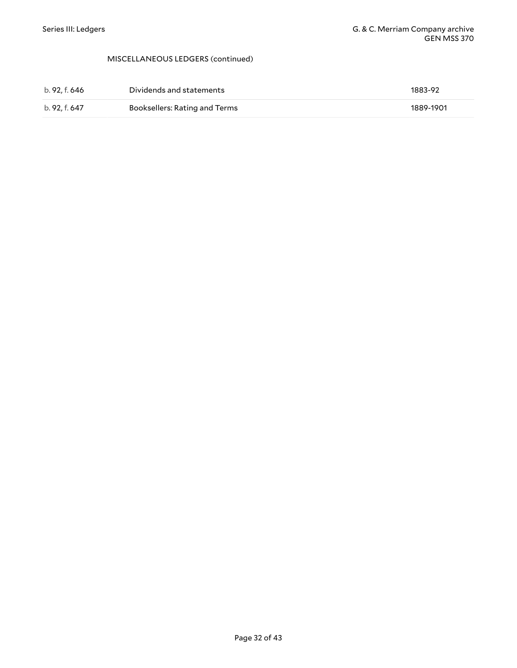#### MISCELLANEOUS LEDGERS (continued)

| b. 92. f. 646 | Dividends and statements      | 1883-92   |
|---------------|-------------------------------|-----------|
| b. 92. f. 647 | Booksellers: Rating and Terms | 1889-1901 |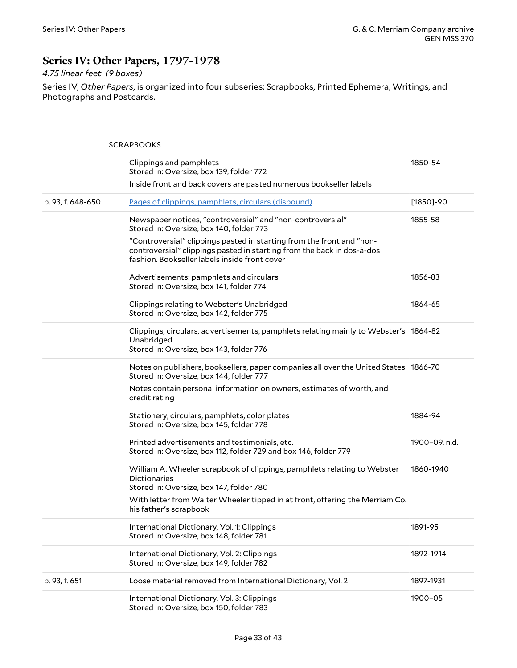## <span id="page-32-0"></span>**Series IV: Other Papers, 1797-1978**

### *4.75 linear feet (9 boxes)*

Series IV, *Other Papers*, is organized into four subseries: Scrapbooks, Printed Ephemera, Writings, and Photographs and Postcards.

#### <span id="page-32-1"></span>**SCRAPBOOKS**

|                   | Clippings and pamphlets<br>Stored in: Oversize, box 139, folder 772                                                                                                                              | 1850-54       |
|-------------------|--------------------------------------------------------------------------------------------------------------------------------------------------------------------------------------------------|---------------|
|                   | Inside front and back covers are pasted numerous bookseller labels                                                                                                                               |               |
| b. 93, f. 648-650 | Pages of clippings, pamphlets, circulars (disbound)                                                                                                                                              | $[1850] - 90$ |
|                   | Newspaper notices, "controversial" and "non-controversial"<br>Stored in: Oversize, box 140, folder 773                                                                                           | 1855-58       |
|                   | "Controversial" clippings pasted in starting from the front and "non-<br>controversial" clippings pasted in starting from the back in dos-à-dos<br>fashion. Bookseller labels inside front cover |               |
|                   | Advertisements: pamphlets and circulars<br>Stored in: Oversize, box 141, folder 774                                                                                                              | 1856-83       |
|                   | Clippings relating to Webster's Unabridged<br>Stored in: Oversize, box 142, folder 775                                                                                                           | 1864-65       |
|                   | Clippings, circulars, advertisements, pamphlets relating mainly to Webster's 1864-82<br>Unabridged<br>Stored in: Oversize, box 143, folder 776                                                   |               |
|                   | Notes on publishers, booksellers, paper companies all over the United States 1866-70<br>Stored in: Oversize, box 144, folder 777                                                                 |               |
|                   | Notes contain personal information on owners, estimates of worth, and<br>credit rating                                                                                                           |               |
|                   | Stationery, circulars, pamphlets, color plates<br>Stored in: Oversize, box 145, folder 778                                                                                                       | 1884-94       |
|                   | Printed advertisements and testimonials, etc.<br>Stored in: Oversize, box 112, folder 729 and box 146, folder 779                                                                                | 1900-09, n.d. |
|                   | William A. Wheeler scrapbook of clippings, pamphlets relating to Webster<br><b>Dictionaries</b><br>Stored in: Oversize, box 147, folder 780                                                      | 1860-1940     |
|                   | With letter from Walter Wheeler tipped in at front, offering the Merriam Co.<br>his father's scrapbook                                                                                           |               |
|                   | International Dictionary, Vol. 1: Clippings<br>Stored in: Oversize, box 148, folder 781                                                                                                          | 1891-95       |
|                   | International Dictionary, Vol. 2: Clippings<br>Stored in: Oversize, box 149, folder 782                                                                                                          | 1892-1914     |
| b. 93, f. 651     | Loose material removed from International Dictionary, Vol. 2                                                                                                                                     | 1897-1931     |
|                   | International Dictionary, Vol. 3: Clippings<br>Stored in: Oversize, box 150, folder 783                                                                                                          | 1900-05       |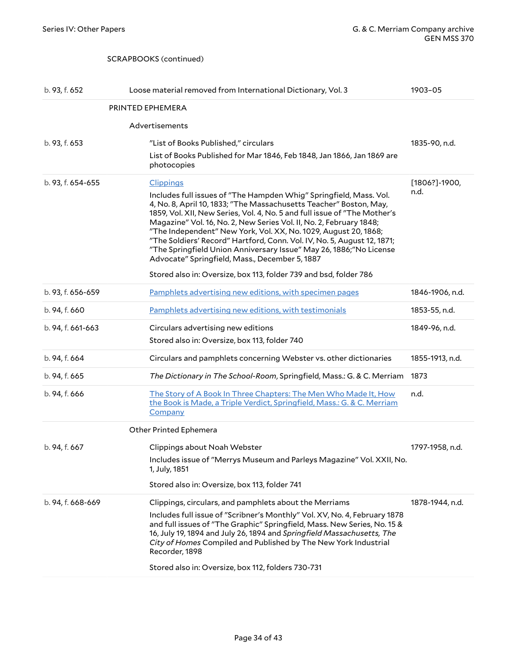#### <span id="page-33-1"></span><span id="page-33-0"></span>SCRAPBOOKS (continued)

<span id="page-33-2"></span>

| b. 93, f. 652     | Loose material removed from International Dictionary, Vol. 3                                                                                                                                                                                                                                                                                                                                                                                                                                                                                                        | 1903-05           |
|-------------------|---------------------------------------------------------------------------------------------------------------------------------------------------------------------------------------------------------------------------------------------------------------------------------------------------------------------------------------------------------------------------------------------------------------------------------------------------------------------------------------------------------------------------------------------------------------------|-------------------|
|                   | PRINTED EPHEMERA                                                                                                                                                                                                                                                                                                                                                                                                                                                                                                                                                    |                   |
|                   | Advertisements                                                                                                                                                                                                                                                                                                                                                                                                                                                                                                                                                      |                   |
| b. 93, f. 653     | "List of Books Published," circulars                                                                                                                                                                                                                                                                                                                                                                                                                                                                                                                                | 1835-90, n.d.     |
|                   | List of Books Published for Mar 1846, Feb 1848, Jan 1866, Jan 1869 are<br>photocopies                                                                                                                                                                                                                                                                                                                                                                                                                                                                               |                   |
| b. 93, f. 654-655 | <b>Clippings</b>                                                                                                                                                                                                                                                                                                                                                                                                                                                                                                                                                    | $[1806?] - 1900,$ |
|                   | Includes full issues of "The Hampden Whig" Springfield, Mass. Vol.<br>4, No. 8, April 10, 1833; "The Massachusetts Teacher" Boston, May,<br>1859, Vol. XII, New Series, Vol. 4, No. 5 and full issue of "The Mother's<br>Magazine" Vol. 16, No. 2, New Series Vol. II, No. 2, February 1848;<br>"The Independent" New York, Vol. XX, No. 1029, August 20, 1868;<br>"The Soldiers' Record" Hartford, Conn. Vol. IV, No. 5, August 12, 1871;<br>"The Springfield Union Anniversary Issue" May 26, 1886; "No License<br>Advocate" Springfield, Mass., December 5, 1887 | n.d.              |
|                   | Stored also in: Oversize, box 113, folder 739 and bsd, folder 786                                                                                                                                                                                                                                                                                                                                                                                                                                                                                                   |                   |
| b. 93, f. 656-659 | Pamphlets advertising new editions, with specimen pages                                                                                                                                                                                                                                                                                                                                                                                                                                                                                                             | 1846-1906, n.d.   |
| b. 94, f. 660     | Pamphlets advertising new editions, with testimonials                                                                                                                                                                                                                                                                                                                                                                                                                                                                                                               | 1853-55, n.d.     |
| b. 94, f. 661-663 | Circulars advertising new editions                                                                                                                                                                                                                                                                                                                                                                                                                                                                                                                                  | 1849-96, n.d.     |
|                   | Stored also in: Oversize, box 113, folder 740                                                                                                                                                                                                                                                                                                                                                                                                                                                                                                                       |                   |
| b. 94, f. 664     | Circulars and pamphlets concerning Webster vs. other dictionaries                                                                                                                                                                                                                                                                                                                                                                                                                                                                                                   | 1855-1913, n.d.   |
| b. 94, f. 665     | The Dictionary in The School-Room, Springfield, Mass.: G. & C. Merriam                                                                                                                                                                                                                                                                                                                                                                                                                                                                                              | 1873              |
| b. 94, f. 666     | The Story of A Book In Three Chapters: The Men Who Made It, How<br>the Book is Made, a Triple Verdict, Springfield, Mass.: G. & C. Merriam<br>Company                                                                                                                                                                                                                                                                                                                                                                                                               | n.d.              |
|                   | <b>Other Printed Ephemera</b>                                                                                                                                                                                                                                                                                                                                                                                                                                                                                                                                       |                   |
| b. 94, f. 667     | Clippings about Noah Webster                                                                                                                                                                                                                                                                                                                                                                                                                                                                                                                                        | 1797-1958, n.d.   |
|                   | Includes issue of "Merrys Museum and Parleys Magazine" Vol. XXII, No.<br>1, July, 1851                                                                                                                                                                                                                                                                                                                                                                                                                                                                              |                   |
|                   | Stored also in: Oversize, box 113, folder 741                                                                                                                                                                                                                                                                                                                                                                                                                                                                                                                       |                   |
| b. 94, f. 668-669 | Clippings, circulars, and pamphlets about the Merriams<br>Includes full issue of "Scribner's Monthly" Vol. XV, No. 4, February 1878<br>and full issues of "The Graphic" Springfield, Mass. New Series, No. 15 &<br>16, July 19, 1894 and July 26, 1894 and Springfield Massachusetts, The<br>City of Homes Compiled and Published by The New York Industrial<br>Recorder, 1898<br>Stored also in: Oversize, box 112, folders 730-731                                                                                                                                | 1878-1944, n.d.   |
|                   |                                                                                                                                                                                                                                                                                                                                                                                                                                                                                                                                                                     |                   |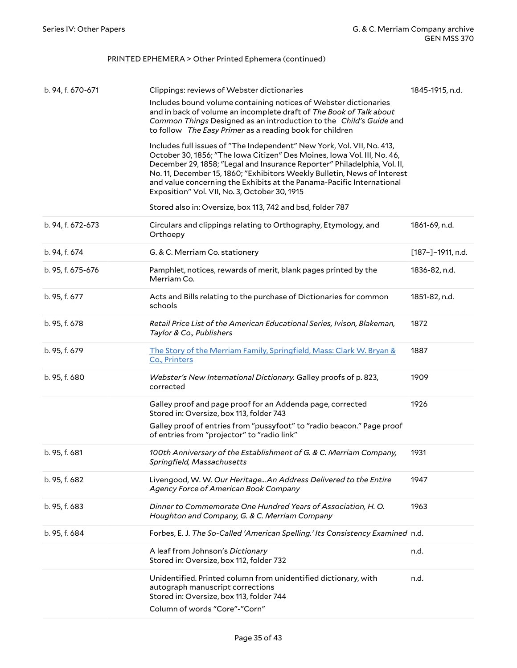### PRINTED EPHEMERA > Other Printed Ephemera (continued)

| b. 94, f. 670-671 | Clippings: reviews of Webster dictionaries                                                                                                                                                                                                                                                                                                                                                                                          | 1845-1915, n.d.   |
|-------------------|-------------------------------------------------------------------------------------------------------------------------------------------------------------------------------------------------------------------------------------------------------------------------------------------------------------------------------------------------------------------------------------------------------------------------------------|-------------------|
|                   | Includes bound volume containing notices of Webster dictionaries<br>and in back of volume an incomplete draft of The Book of Talk about<br>Common Things Designed as an introduction to the Child's Guide and<br>to follow The Easy Primer as a reading book for children                                                                                                                                                           |                   |
|                   | Includes full issues of "The Independent" New York, Vol. VII, No. 413,<br>October 30, 1856; "The Iowa Citizen" Des Moines, Iowa Vol. III, No. 46,<br>December 29, 1858; "Legal and Insurance Reporter" Philadelphia, Vol. II,<br>No. 11, December 15, 1860; "Exhibitors Weekly Bulletin, News of Interest<br>and value concerning the Exhibits at the Panama-Pacific International<br>Exposition" Vol. VII, No. 3, October 30, 1915 |                   |
|                   | Stored also in: Oversize, box 113, 742 and bsd, folder 787                                                                                                                                                                                                                                                                                                                                                                          |                   |
| b. 94, f. 672-673 | Circulars and clippings relating to Orthography, Etymology, and<br>Orthoepy                                                                                                                                                                                                                                                                                                                                                         | 1861-69, n.d.     |
| b. 94, f. 674     | G. & C. Merriam Co. stationery                                                                                                                                                                                                                                                                                                                                                                                                      | [187-]-1911, n.d. |
| b. 95, f. 675-676 | Pamphlet, notices, rewards of merit, blank pages printed by the<br>Merriam Co.                                                                                                                                                                                                                                                                                                                                                      | 1836-82, n.d.     |
| b. 95, f. 677     | Acts and Bills relating to the purchase of Dictionaries for common<br>schools                                                                                                                                                                                                                                                                                                                                                       | 1851-82, n.d.     |
| b. 95, f. 678     | Retail Price List of the American Educational Series, Ivison, Blakeman,<br>Taylor & Co., Publishers                                                                                                                                                                                                                                                                                                                                 | 1872              |
| b. 95, f. 679     | The Story of the Merriam Family, Springfield, Mass: Clark W. Bryan &<br>Co., Printers                                                                                                                                                                                                                                                                                                                                               | 1887              |
| b. 95, f. 680     | Webster's New International Dictionary. Galley proofs of p. 823,<br>corrected                                                                                                                                                                                                                                                                                                                                                       | 1909              |
|                   | Galley proof and page proof for an Addenda page, corrected<br>Stored in: Oversize, box 113, folder 743                                                                                                                                                                                                                                                                                                                              | 1926              |
|                   | Galley proof of entries from "pussyfoot" to "radio beacon." Page proof<br>of entries from "projector" to "radio link"                                                                                                                                                                                                                                                                                                               |                   |
| b. 95, f. 681     | 100th Anniversary of the Establishment of G. & C. Merriam Company,<br>Springfield, Massachusetts                                                                                                                                                                                                                                                                                                                                    | 1931              |
| b. 95, f. 682     | Livengood, W. W. Our Heritage An Address Delivered to the Entire<br>Agency Force of American Book Company                                                                                                                                                                                                                                                                                                                           | 1947              |
| b. 95, f. 683     | Dinner to Commemorate One Hundred Years of Association, H.O.<br>Houghton and Company, G. & C. Merriam Company                                                                                                                                                                                                                                                                                                                       | 1963              |
| b. 95, f. 684     | Forbes, E. J. The So-Called 'American Spelling.' Its Consistency Examined n.d.                                                                                                                                                                                                                                                                                                                                                      |                   |
|                   | A leaf from Johnson's Dictionary<br>Stored in: Oversize, box 112, folder 732                                                                                                                                                                                                                                                                                                                                                        | n.d.              |
|                   | Unidentified. Printed column from unidentified dictionary, with<br>autograph manuscript corrections<br>Stored in: Oversize, box 113, folder 744<br>Column of words "Core"-"Corn"                                                                                                                                                                                                                                                    | n.d.              |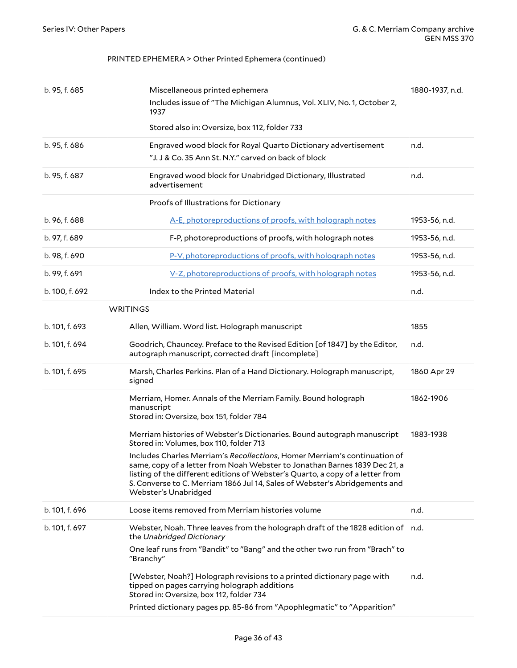#### PRINTED EPHEMERA > Other Printed Ephemera (continued)

<span id="page-35-0"></span>

| b. 95, f. 685  | Miscellaneous printed ephemera<br>Includes issue of "The Michigan Alumnus, Vol. XLIV, No. 1, October 2,<br>1937<br>Stored also in: Oversize, box 112, folder 733                                                                                                                                                                                | 1880-1937, n.d. |
|----------------|-------------------------------------------------------------------------------------------------------------------------------------------------------------------------------------------------------------------------------------------------------------------------------------------------------------------------------------------------|-----------------|
| b. 95, f. 686  | Engraved wood block for Royal Quarto Dictionary advertisement<br>"J. J & Co. 35 Ann St. N.Y." carved on back of block                                                                                                                                                                                                                           | n.d.            |
| b. 95, f. 687  | Engraved wood block for Unabridged Dictionary, Illustrated<br>advertisement                                                                                                                                                                                                                                                                     | n.d.            |
|                | Proofs of Illustrations for Dictionary                                                                                                                                                                                                                                                                                                          |                 |
| b. 96, f. 688  | A-E, photoreproductions of proofs, with holograph notes                                                                                                                                                                                                                                                                                         | 1953-56, n.d.   |
| b. 97, f. 689  | F-P, photoreproductions of proofs, with holograph notes                                                                                                                                                                                                                                                                                         | 1953-56, n.d.   |
| b. 98, f. 690  | P-V, photoreproductions of proofs, with holograph notes                                                                                                                                                                                                                                                                                         | 1953-56, n.d.   |
| b. 99, f. 691  | V-Z, photoreproductions of proofs, with holograph notes                                                                                                                                                                                                                                                                                         | 1953-56, n.d.   |
| b. 100, f. 692 | Index to the Printed Material                                                                                                                                                                                                                                                                                                                   | n.d.            |
|                | <b>WRITINGS</b>                                                                                                                                                                                                                                                                                                                                 |                 |
| b. 101, f. 693 | Allen, William. Word list. Holograph manuscript                                                                                                                                                                                                                                                                                                 | 1855            |
| b. 101, f. 694 | Goodrich, Chauncey. Preface to the Revised Edition [of 1847] by the Editor,<br>autograph manuscript, corrected draft [incomplete]                                                                                                                                                                                                               | n.d.            |
| b. 101, f. 695 | Marsh, Charles Perkins. Plan of a Hand Dictionary. Holograph manuscript,<br>signed                                                                                                                                                                                                                                                              | 1860 Apr 29     |
|                | Merriam, Homer. Annals of the Merriam Family. Bound holograph<br>manuscript<br>Stored in: Oversize, box 151, folder 784                                                                                                                                                                                                                         | 1862-1906       |
|                | Merriam histories of Webster's Dictionaries. Bound autograph manuscript<br>Stored in: Volumes, box 110, folder 713                                                                                                                                                                                                                              | 1883-1938       |
|                | Includes Charles Merriam's Recollections, Homer Merriam's continuation of<br>same, copy of a letter from Noah Webster to Jonathan Barnes 1839 Dec 21, a<br>listing of the different editions of Webster's Quarto, a copy of a letter from<br>S. Converse to C. Merriam 1866 Jul 14, Sales of Webster's Abridgements and<br>Webster's Unabridged |                 |
| b. 101, f. 696 | Loose items removed from Merriam histories volume                                                                                                                                                                                                                                                                                               | n.d.            |
| b. 101, f. 697 | Webster, Noah. Three leaves from the holograph draft of the 1828 edition of n.d.<br>the Unabridged Dictionary                                                                                                                                                                                                                                   |                 |
|                | One leaf runs from "Bandit" to "Bang" and the other two run from "Brach" to<br>"Branchy"                                                                                                                                                                                                                                                        |                 |
|                | [Webster, Noah?] Holograph revisions to a printed dictionary page with<br>tipped on pages carrying holograph additions<br>Stored in: Oversize, box 112, folder 734                                                                                                                                                                              | n.d.            |
|                | Printed dictionary pages pp. 85-86 from "Apophlegmatic" to "Apparition"                                                                                                                                                                                                                                                                         |                 |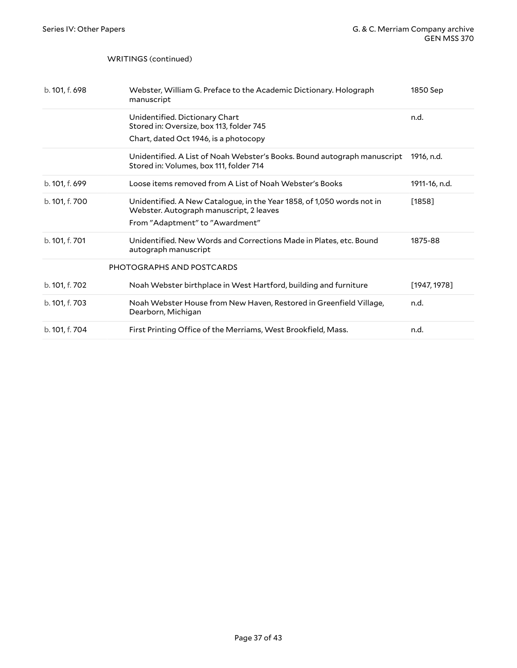#### WRITINGS (continued)

<span id="page-36-0"></span>

| b. 101, f. 698 | Webster, William G. Preface to the Academic Dictionary. Holograph<br>manuscript                                                                      | 1850 Sep      |
|----------------|------------------------------------------------------------------------------------------------------------------------------------------------------|---------------|
|                | Unidentified. Dictionary Chart<br>Stored in: Oversize, box 113, folder 745<br>Chart, dated Oct 1946, is a photocopy                                  | n.d.          |
|                | Unidentified. A List of Noah Webster's Books. Bound autograph manuscript<br>Stored in: Volumes, box 111, folder 714                                  | 1916. n.d.    |
| b. 101, f. 699 | Loose items removed from A List of Noah Webster's Books                                                                                              | 1911-16, n.d. |
| b. 101, f. 700 | Unidentified. A New Catalogue, in the Year 1858, of 1,050 words not in<br>Webster. Autograph manuscript, 2 leaves<br>From "Adaptment" to "Awardment" | $[1858]$      |
| b. 101, f. 701 | Unidentified. New Words and Corrections Made in Plates, etc. Bound<br>autograph manuscript                                                           | 1875-88       |
|                | PHOTOGRAPHS AND POSTCARDS                                                                                                                            |               |
| b. 101, f. 702 | Noah Webster birthplace in West Hartford, building and furniture                                                                                     | [1947, 1978]  |
| b. 101, f. 703 | Noah Webster House from New Haven, Restored in Greenfield Village,<br>Dearborn, Michigan                                                             | n.d.          |
| b. 101, f. 704 | First Printing Office of the Merriams, West Brookfield, Mass.                                                                                        | n.d.          |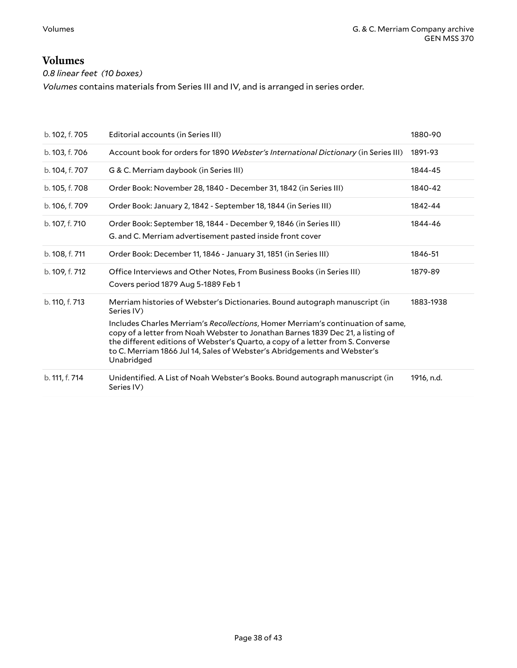### <span id="page-37-0"></span>**Volumes**

*0.8 linear feet (10 boxes)*

*Volumes* contains materials from Series III and IV, and is arranged in series order.

| b. 102, f. 705 | Editorial accounts (in Series III)                                                                                                                                                                                                                                                                                                              | 1880-90    |
|----------------|-------------------------------------------------------------------------------------------------------------------------------------------------------------------------------------------------------------------------------------------------------------------------------------------------------------------------------------------------|------------|
| b. 103, f. 706 | Account book for orders for 1890 Webster's International Dictionary (in Series III)                                                                                                                                                                                                                                                             | 1891-93    |
| b. 104, f. 707 | G & C. Merriam daybook (in Series III)                                                                                                                                                                                                                                                                                                          | 1844-45    |
| b. 105, f. 708 | Order Book: November 28, 1840 - December 31, 1842 (in Series III)                                                                                                                                                                                                                                                                               | 1840-42    |
| b. 106, f. 709 | Order Book: January 2, 1842 - September 18, 1844 (in Series III)                                                                                                                                                                                                                                                                                | 1842-44    |
| b. 107, f. 710 | Order Book: September 18, 1844 - December 9, 1846 (in Series III)<br>G. and C. Merriam advertisement pasted inside front cover                                                                                                                                                                                                                  | 1844-46    |
| b. 108, f. 711 | Order Book: December 11, 1846 - January 31, 1851 (in Series III)                                                                                                                                                                                                                                                                                | 1846-51    |
| b. 109, f. 712 | Office Interviews and Other Notes, From Business Books (in Series III)<br>Covers period 1879 Aug 5-1889 Feb 1                                                                                                                                                                                                                                   | 1879-89    |
| b. 110, f. 713 | Merriam histories of Webster's Dictionaries. Bound autograph manuscript (in<br>Series IV)                                                                                                                                                                                                                                                       | 1883-1938  |
|                | Includes Charles Merriam's Recollections, Homer Merriam's continuation of same,<br>copy of a letter from Noah Webster to Jonathan Barnes 1839 Dec 21, a listing of<br>the different editions of Webster's Quarto, a copy of a letter from S. Converse<br>to C. Merriam 1866 Jul 14, Sales of Webster's Abridgements and Webster's<br>Unabridged |            |
| b. 111, f. 714 | Unidentified. A List of Noah Webster's Books. Bound autograph manuscript (in<br>Series IV)                                                                                                                                                                                                                                                      | 1916, n.d. |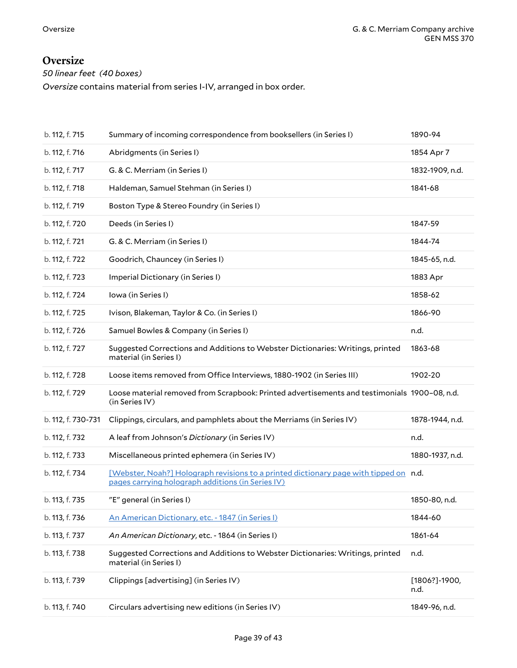### <span id="page-38-0"></span>**Oversize**

*50 linear feet (40 boxes)*

*Oversize* contains material from series I-IV, arranged in box order.

| b. 112, f. 715     | Summary of incoming correspondence from booksellers (in Series I)                                                                          | 1890-94                   |
|--------------------|--------------------------------------------------------------------------------------------------------------------------------------------|---------------------------|
| b. 112, f. 716     | Abridgments (in Series I)                                                                                                                  | 1854 Apr 7                |
| b. 112, f. 717     | G. & C. Merriam (in Series I)                                                                                                              | 1832-1909, n.d.           |
| b. 112, f. 718     | Haldeman, Samuel Stehman (in Series I)                                                                                                     | 1841-68                   |
| b. 112, f. 719     | Boston Type & Stereo Foundry (in Series I)                                                                                                 |                           |
| b. 112, f. 720     | Deeds (in Series I)                                                                                                                        | 1847-59                   |
| b. 112, f. 721     | G. & C. Merriam (in Series I)                                                                                                              | 1844-74                   |
| b. 112, f. 722     | Goodrich, Chauncey (in Series I)                                                                                                           | 1845-65, n.d.             |
| b. 112, f. 723     | Imperial Dictionary (in Series I)                                                                                                          | 1883 Apr                  |
| b. 112, f. 724     | Iowa (in Series I)                                                                                                                         | 1858-62                   |
| b. 112, f. 725     | Ivison, Blakeman, Taylor & Co. (in Series I)                                                                                               | 1866-90                   |
| b. 112, f. 726     | Samuel Bowles & Company (in Series I)                                                                                                      | n.d.                      |
| b. 112, f. 727     | Suggested Corrections and Additions to Webster Dictionaries: Writings, printed<br>material (in Series I)                                   | 1863-68                   |
| b. 112, f. 728     | Loose items removed from Office Interviews, 1880-1902 (in Series III)                                                                      | 1902-20                   |
| b. 112, f. 729     | Loose material removed from Scrapbook: Printed advertisements and testimonials 1900-08, n.d.<br>(in Series IV)                             |                           |
| b. 112, f. 730-731 | Clippings, circulars, and pamphlets about the Merriams (in Series IV)                                                                      | 1878-1944, n.d.           |
| b. 112, f. 732     | A leaf from Johnson's Dictionary (in Series IV)                                                                                            | n.d.                      |
| b. 112, f. 733     | Miscellaneous printed ephemera (in Series IV)                                                                                              | 1880-1937, n.d.           |
| b. 112, f. 734     | [Webster, Noah?] Holograph revisions to a printed dictionary page with tipped on n.d.<br>pages carrying holograph additions (in Series IV) |                           |
| b. 113, f. 735     | "E" general (in Series I)                                                                                                                  | 1850-80, n.d.             |
| b. 113, f. 736     | An American Dictionary, etc. - 1847 (in Series I)                                                                                          | 1844-60                   |
| b. 113, f. 737     | An American Dictionary, etc. - 1864 (in Series I)                                                                                          | 1861-64                   |
| b. 113, f. 738     | Suggested Corrections and Additions to Webster Dictionaries: Writings, printed<br>material (in Series I)                                   | n.d.                      |
| b. 113, f. 739     | Clippings [advertising] (in Series IV)                                                                                                     | $[1806?] - 1900,$<br>n.d. |
| b. 113, f. 740     | Circulars advertising new editions (in Series IV)                                                                                          | 1849-96, n.d.             |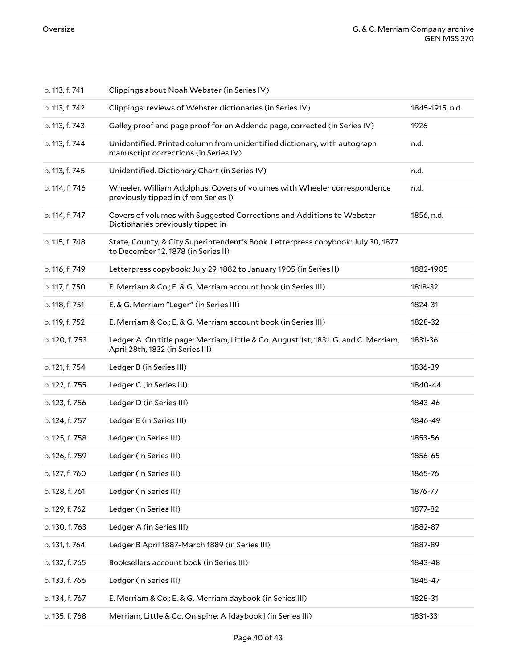| b. 113, f. 741 | Clippings about Noah Webster (in Series IV)                                                                             |                 |
|----------------|-------------------------------------------------------------------------------------------------------------------------|-----------------|
| b. 113, f. 742 | Clippings: reviews of Webster dictionaries (in Series IV)                                                               | 1845-1915, n.d. |
| b. 113, f. 743 | Galley proof and page proof for an Addenda page, corrected (in Series IV)                                               | 1926            |
| b. 113, f. 744 | Unidentified. Printed column from unidentified dictionary, with autograph<br>manuscript corrections (in Series IV)      | n.d.            |
| b. 113, f. 745 | Unidentified. Dictionary Chart (in Series IV)                                                                           | n.d.            |
| b. 114, f. 746 | Wheeler, William Adolphus. Covers of volumes with Wheeler correspondence<br>previously tipped in (from Series I)        | n.d.            |
| b. 114, f. 747 | Covers of volumes with Suggested Corrections and Additions to Webster<br>Dictionaries previously tipped in              | 1856, n.d.      |
| b. 115, f. 748 | State, County, & City Superintendent's Book. Letterpress copybook: July 30, 1877<br>to December 12, 1878 (in Series II) |                 |
| b. 116, f. 749 | Letterpress copybook: July 29, 1882 to January 1905 (in Series II)                                                      | 1882-1905       |
| b. 117, f. 750 | E. Merriam & Co.; E. & G. Merriam account book (in Series III)                                                          | 1818-32         |
| b. 118, f. 751 | E. & G. Merriam "Leger" (in Series III)                                                                                 | 1824-31         |
| b. 119, f. 752 | E. Merriam & Co.; E. & G. Merriam account book (in Series III)                                                          | 1828-32         |
| b. 120, f. 753 | Ledger A. On title page: Merriam, Little & Co. August 1st, 1831. G. and C. Merriam,<br>April 28th, 1832 (in Series III) | 1831-36         |
| b. 121, f. 754 | Ledger B (in Series III)                                                                                                | 1836-39         |
| b. 122, f. 755 | Ledger C (in Series III)                                                                                                | 1840-44         |
| b. 123, f. 756 | Ledger D (in Series III)                                                                                                | 1843-46         |
| b. 124, f. 757 | Ledger E (in Series III)                                                                                                | 1846-49         |
| b. 125, f. 758 | Ledger (in Series III)                                                                                                  | 1853-56         |
| b. 126, f. 759 | Ledger (in Series III)                                                                                                  | 1856-65         |
| b. 127, f. 760 | Ledger (in Series III)                                                                                                  | 1865-76         |
| b. 128, f. 761 | Ledger (in Series III)                                                                                                  | 1876-77         |
| b. 129, f. 762 | Ledger (in Series III)                                                                                                  | 1877-82         |
| b. 130, f. 763 | Ledger A (in Series III)                                                                                                | 1882-87         |
| b. 131, f. 764 | Ledger B April 1887-March 1889 (in Series III)                                                                          | 1887-89         |
| b. 132, f. 765 | Booksellers account book (in Series III)                                                                                | 1843-48         |
| b. 133, f. 766 | Ledger (in Series III)                                                                                                  | 1845-47         |
| b. 134, f. 767 | E. Merriam & Co.; E. & G. Merriam daybook (in Series III)                                                               | 1828-31         |
| b. 135, f. 768 | Merriam, Little & Co. On spine: A [daybook] (in Series III)                                                             | 1831-33         |
|                |                                                                                                                         |                 |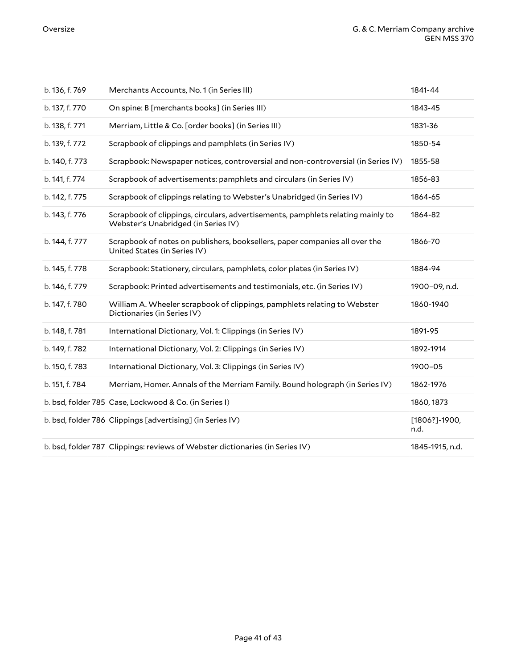| b. 136, f. 769 | Merchants Accounts, No. 1 (in Series III)                                                                              | 1841-44                   |
|----------------|------------------------------------------------------------------------------------------------------------------------|---------------------------|
| b. 137, f. 770 | On spine: B [merchants books] (in Series III)                                                                          | 1843-45                   |
| b. 138, f. 771 | Merriam, Little & Co. [order books] (in Series III)                                                                    | 1831-36                   |
| b. 139, f. 772 | Scrapbook of clippings and pamphlets (in Series IV)                                                                    | 1850-54                   |
| b. 140, f. 773 | Scrapbook: Newspaper notices, controversial and non-controversial (in Series IV)                                       | 1855-58                   |
| b. 141, f. 774 | Scrapbook of advertisements: pamphlets and circulars (in Series IV)                                                    | 1856-83                   |
| b. 142, f. 775 | Scrapbook of clippings relating to Webster's Unabridged (in Series IV)                                                 | 1864-65                   |
| b. 143, f. 776 | Scrapbook of clippings, circulars, advertisements, pamphlets relating mainly to<br>Webster's Unabridged (in Series IV) | 1864-82                   |
| b. 144, f. 777 | Scrapbook of notes on publishers, booksellers, paper companies all over the<br>United States (in Series IV)            | 1866-70                   |
| b. 145, f. 778 | Scrapbook: Stationery, circulars, pamphlets, color plates (in Series IV)                                               | 1884-94                   |
| b. 146, f. 779 | Scrapbook: Printed advertisements and testimonials, etc. (in Series IV)                                                | 1900-09, n.d.             |
| b. 147, f. 780 | William A. Wheeler scrapbook of clippings, pamphlets relating to Webster<br>Dictionaries (in Series IV)                | 1860-1940                 |
| b. 148, f. 781 | International Dictionary, Vol. 1: Clippings (in Series IV)                                                             | 1891-95                   |
| b. 149, f. 782 | International Dictionary, Vol. 2: Clippings (in Series IV)                                                             | 1892-1914                 |
| b. 150, f. 783 | International Dictionary, Vol. 3: Clippings (in Series IV)                                                             | 1900-05                   |
| b. 151, f. 784 | Merriam, Homer. Annals of the Merriam Family. Bound holograph (in Series IV)                                           | 1862-1976                 |
|                | b. bsd, folder 785 Case, Lockwood & Co. (in Series I)                                                                  | 1860, 1873                |
|                | b. bsd, folder 786 Clippings [advertising] (in Series IV)                                                              | $[1806?] - 1900,$<br>n.d. |
|                | b. bsd, folder 787 Clippings: reviews of Webster dictionaries (in Series IV)                                           | 1845-1915, n.d.           |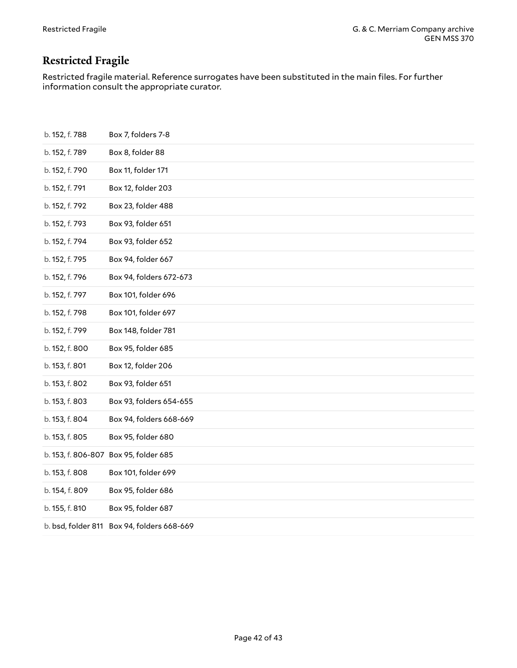# <span id="page-41-0"></span>**Restricted Fragile**

Restricted fragile material. Reference surrogates have been substituted in the main files. For further information consult the appropriate curator.

| Box 7, folders 7-8                            |
|-----------------------------------------------|
| Box 8, folder 88                              |
| Box 11, folder 171                            |
| Box 12, folder 203                            |
| Box 23, folder 488                            |
| Box 93, folder 651                            |
| Box 93, folder 652                            |
| Box 94, folder 667                            |
| Box 94, folders 672-673                       |
| Box 101, folder 696                           |
| Box 101, folder 697                           |
| Box 148, folder 781                           |
| Box 95, folder 685                            |
| Box 12, folder 206                            |
| Box 93, folder 651                            |
| Box 93, folders 654-655                       |
| Box 94, folders 668-669                       |
| Box 95, folder 680                            |
| b. 153, f. 806-807 Box 95, folder 685         |
| Box 101, folder 699                           |
| Box 95, folder 686                            |
| Box 95, folder 687                            |
| Box 94, folders 668-669<br>b. bsd, folder 811 |
|                                               |